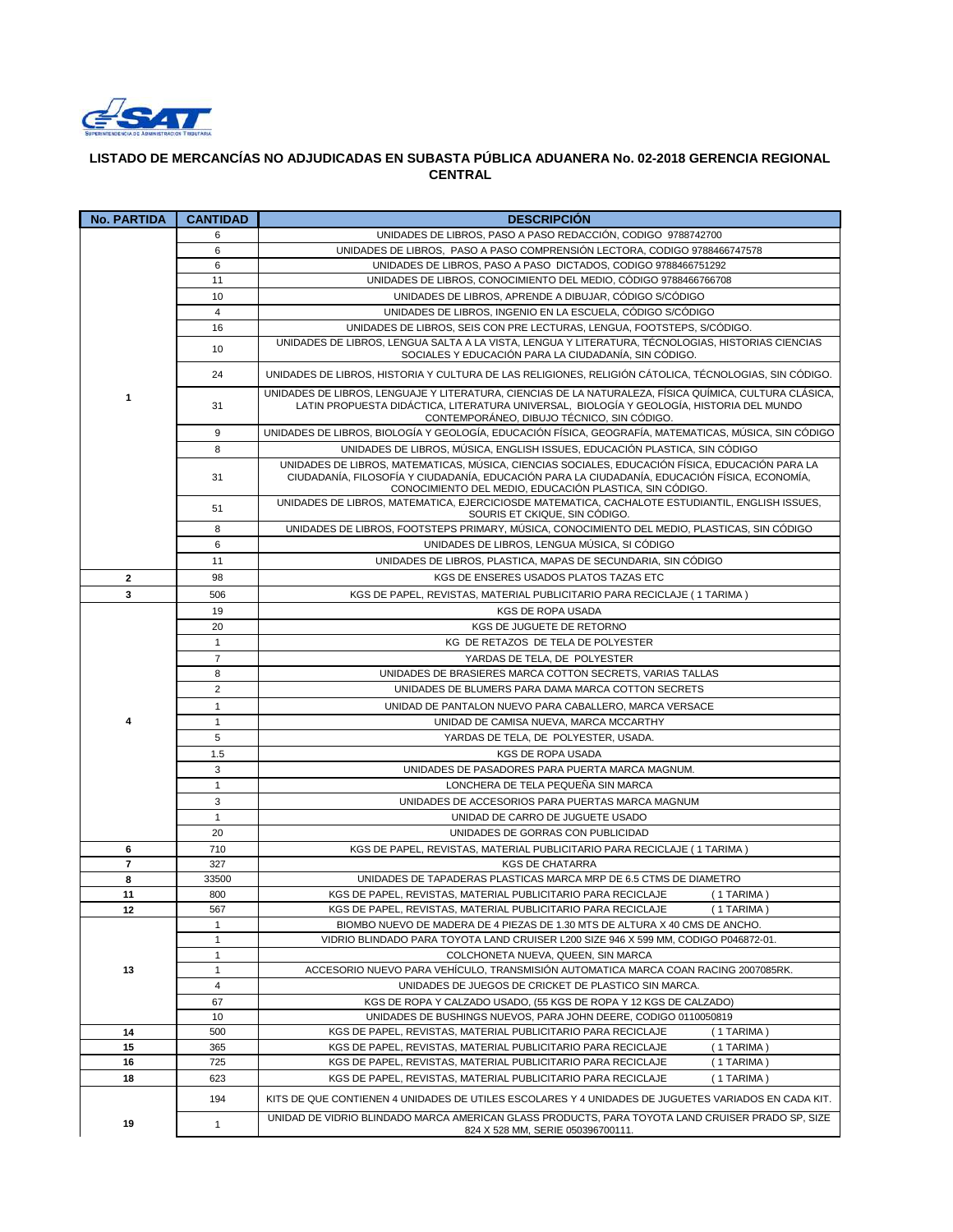

## **LISTADO DE MERCANCÍAS NO ADJUDICADAS EN SUBASTA PÚBLICA ADUANERA No. 02-2018 GERENCIA REGIONAL CENTRAL**

| <b>No. PARTIDA</b> | <b>CANTIDAD</b> | <b>DESCRIPCIÓN</b>                                                                                                                                                                                                                                          |
|--------------------|-----------------|-------------------------------------------------------------------------------------------------------------------------------------------------------------------------------------------------------------------------------------------------------------|
|                    | 6               | UNIDADES DE LIBROS, PASO A PASO REDACCIÓN, CODIGO 9788742700                                                                                                                                                                                                |
|                    | 6               | UNIDADES DE LIBROS, PASO A PASO COMPRENSIÓN LECTORA, CODIGO 9788466747578                                                                                                                                                                                   |
|                    | 6               | UNIDADES DE LIBROS, PASO A PASO DICTADOS, CODIGO 9788466751292                                                                                                                                                                                              |
|                    | 11              | UNIDADES DE LIBROS, CONOCIMIENTO DEL MEDIO, CÓDIGO 9788466766708                                                                                                                                                                                            |
|                    | 10              | UNIDADES DE LIBROS, APRENDE A DIBUJAR, CÓDIGO S/CÓDIGO                                                                                                                                                                                                      |
|                    | $\overline{4}$  | UNIDADES DE LIBROS, INGENIO EN LA ESCUELA, CÓDIGO S/CÓDIGO                                                                                                                                                                                                  |
|                    | 16              | UNIDADES DE LIBROS, SEIS CON PRE LECTURAS, LENGUA, FOOTSTEPS, S/CÓDIGO.                                                                                                                                                                                     |
| $\mathbf{1}$       | 10              | UNIDADES DE LIBROS, LENGUA SALTA A LA VISTA, LENGUA Y LITERATURA, TÉCNOLOGIAS, HISTORIAS CIENCIAS                                                                                                                                                           |
|                    |                 | SOCIALES Y EDUCACIÓN PARA LA CIUDADANÍA, SIN CÓDIGO.                                                                                                                                                                                                        |
|                    | 24              | UNIDADES DE LIBROS, HISTORIA Y CULTURA DE LAS RELIGIONES, RELIGIÓN CÁTOLICA, TÉCNOLOGIAS, SIN CÓDIGO.                                                                                                                                                       |
|                    | 31              | UNIDADES DE LIBROS, LENGUAJE Y LITERATURA, CIENCIAS DE LA NATURALEZA, FÍSICA QUÍMICA, CULTURA CLÁSICA,<br>LATIN PROPUESTA DIDÁCTICA, LITERATURA UNIVERSAL. BIOLOGÍA Y GEOLOGÍA, HISTORIA DEL MUNDO<br>CONTEMPORÁNEO, DIBUJO TÉCNICO, SIN CÓDIGO.            |
|                    | 9               | UNIDADES DE LIBROS. BIOLOGÍA Y GEOLOGÍA, EDUCACIÓN FÍSICA, GEOGRAFÍA, MATEMATICAS, MÚSICA, SIN CÓDIGO                                                                                                                                                       |
|                    | 8               | UNIDADES DE LIBROS, MÚSICA, ENGLISH ISSUES, EDUCACIÓN PLASTICA, SIN CÓDIGO                                                                                                                                                                                  |
|                    | 31              | UNIDADES DE LIBROS, MATEMATICAS, MÚSICA, CIENCIAS SOCIALES, EDUCACIÓN FÍSICA, EDUCACIÓN PARA LA<br>CIUDADANÍA, FILOSOFÍA Y CIUDADANÍA, EDUCACIÓN PARA LA CIUDADANÍA, EDUCACIÓN FÍSICA, ECONOMÍA,<br>CONOCIMIENTO DEL MEDIO, EDUCACIÓN PLASTICA, SIN CÓDIGO. |
|                    | 51              | UNIDADES DE LIBROS, MATEMATICA, EJERCICIOSDE MATEMATICA, CACHALOTE ESTUDIANTIL, ENGLISH ISSUES,<br>SOURIS ET CKIQUE, SIN CÓDIGO.                                                                                                                            |
|                    | 8               | UNIDADES DE LIBROS, FOOTSTEPS PRIMARY, MÚSICA, CONOCIMIENTO DEL MEDIO, PLASTICAS, SIN CÓDIGO                                                                                                                                                                |
|                    | 6               | UNIDADES DE LIBROS, LENGUA MÚSICA, SI CÓDIGO                                                                                                                                                                                                                |
|                    | 11              | UNIDADES DE LIBROS, PLASTICA, MAPAS DE SECUNDARIA, SIN CÓDIGO                                                                                                                                                                                               |
| $\mathbf{2}$       | 98              | KGS DE ENSERES USADOS PLATOS TAZAS ETC                                                                                                                                                                                                                      |
| 3                  | 506             | KGS DE PAPEL, REVISTAS, MATERIAL PUBLICITARIO PARA RECICLAJE (1 TARIMA)                                                                                                                                                                                     |
|                    | 19              | KGS DE ROPA USADA                                                                                                                                                                                                                                           |
|                    | 20              | KGS DE JUGUETE DE RETORNO                                                                                                                                                                                                                                   |
|                    | $\mathbf{1}$    | KG DE RETAZOS DE TELA DE POLYESTER                                                                                                                                                                                                                          |
|                    | $\overline{7}$  | YARDAS DE TELA, DE POLYESTER                                                                                                                                                                                                                                |
|                    | 8               | UNIDADES DE BRASIERES MARCA COTTON SECRETS, VARIAS TALLAS                                                                                                                                                                                                   |
|                    | $\overline{2}$  | UNIDADES DE BLUMERS PARA DAMA MARCA COTTON SECRETS                                                                                                                                                                                                          |
|                    |                 |                                                                                                                                                                                                                                                             |
|                    | $\mathbf{1}$    | UNIDAD DE PANTALON NUEVO PARA CABALLERO, MARCA VERSACE                                                                                                                                                                                                      |
| 4                  | $\mathbf{1}$    | UNIDAD DE CAMISA NUEVA, MARCA MCCARTHY                                                                                                                                                                                                                      |
|                    | 5               | YARDAS DE TELA, DE POLYESTER, USADA.                                                                                                                                                                                                                        |
|                    | 1.5             | <b>KGS DE ROPA USADA</b>                                                                                                                                                                                                                                    |
|                    | 3               | UNIDADES DE PASADORES PARA PUERTA MARCA MAGNUM.                                                                                                                                                                                                             |
|                    | $\mathbf{1}$    | LONCHERA DE TELA PEQUEÑA SIN MARCA                                                                                                                                                                                                                          |
|                    | 3               | UNIDADES DE ACCESORIOS PARA PUERTAS MARCA MAGNUM                                                                                                                                                                                                            |
|                    | $\mathbf{1}$    | UNIDAD DE CARRO DE JUGUETE USADO                                                                                                                                                                                                                            |
|                    | 20              | UNIDADES DE GORRAS CON PUBLICIDAD                                                                                                                                                                                                                           |
| 6                  | 710             | KGS DE PAPEL, REVISTAS, MATERIAL PUBLICITARIO PARA RECICLAJE (1 TARIMA)                                                                                                                                                                                     |
| 7                  | 327             | <b>KGS DE CHATARRA</b>                                                                                                                                                                                                                                      |
| 8                  | 33500           | UNIDADES DE TAPADERAS PLASTICAS MARCA MRP DE 6.5 CTMS DE DIAMETRO                                                                                                                                                                                           |
| 11                 | 800             | KGS DE PAPEL, REVISTAS, MATERIAL PUBLICITARIO PARA RECICLAJE<br>(1 TARIMA)                                                                                                                                                                                  |
| 12                 | 567             | KGS DE PAPEL, REVISTAS, MATERIAL PUBLICITARIO PARA RECICLAJE<br>(1 TARIMA)                                                                                                                                                                                  |
|                    | 1               | BIOMBO NUEVO DE MADERA DE 4 PIEZAS DE 1.30 MTS DE ALTURA X 40 CMS DE ANCHO.                                                                                                                                                                                 |
|                    | 1               | VIDRIO BLINDADO PARA TOYOTA LAND CRUISER L200 SIZE 946 X 599 MM, CODIGO P046872-01.                                                                                                                                                                         |
|                    | 1               | COLCHONETA NUEVA, QUEEN, SIN MARCA                                                                                                                                                                                                                          |
| 13                 | $\mathbf{1}$    | ACCESORIO NUEVO PARA VEHÍCULO, TRANSMISIÓN AUTOMATICA MARCA COAN RACING 2007085RK.                                                                                                                                                                          |
|                    | 4               | UNIDADES DE JUEGOS DE CRICKET DE PLASTICO SIN MARCA.                                                                                                                                                                                                        |
|                    | 67              | KGS DE ROPA Y CALZADO USADO, (55 KGS DE ROPA Y 12 KGS DE CALZADO)                                                                                                                                                                                           |
|                    | 10              | UNIDADES DE BUSHINGS NUEVOS, PARA JOHN DEERE, CODIGO 0110050819                                                                                                                                                                                             |
| 14                 | 500             | KGS DE PAPEL, REVISTAS, MATERIAL PUBLICITARIO PARA RECICLAJE<br>(1 TARIMA)                                                                                                                                                                                  |
| 15                 | 365             | (1 TARIMA)<br>KGS DE PAPEL, REVISTAS, MATERIAL PUBLICITARIO PARA RECICLAJE                                                                                                                                                                                  |
| 16                 | 725             | KGS DE PAPEL, REVISTAS, MATERIAL PUBLICITARIO PARA RECICLAJE<br>(1 TARIMA)                                                                                                                                                                                  |
| 18                 | 623             | KGS DE PAPEL, REVISTAS, MATERIAL PUBLICITARIO PARA RECICLAJE<br>(1 TARIMA)                                                                                                                                                                                  |
|                    | 194             | KITS DE QUE CONTIENEN 4 UNIDADES DE UTILES ESCOLARES Y 4 UNIDADES DE JUGUETES VARIADOS EN CADA KIT.                                                                                                                                                         |
| 19                 | $\mathbf{1}$    | UNIDAD DE VIDRIO BLINDADO MARCA AMERICAN GLASS PRODUCTS, PARA TOYOTA LAND CRUISER PRADO SP, SIZE<br>824 X 528 MM, SERIE 050396700111.                                                                                                                       |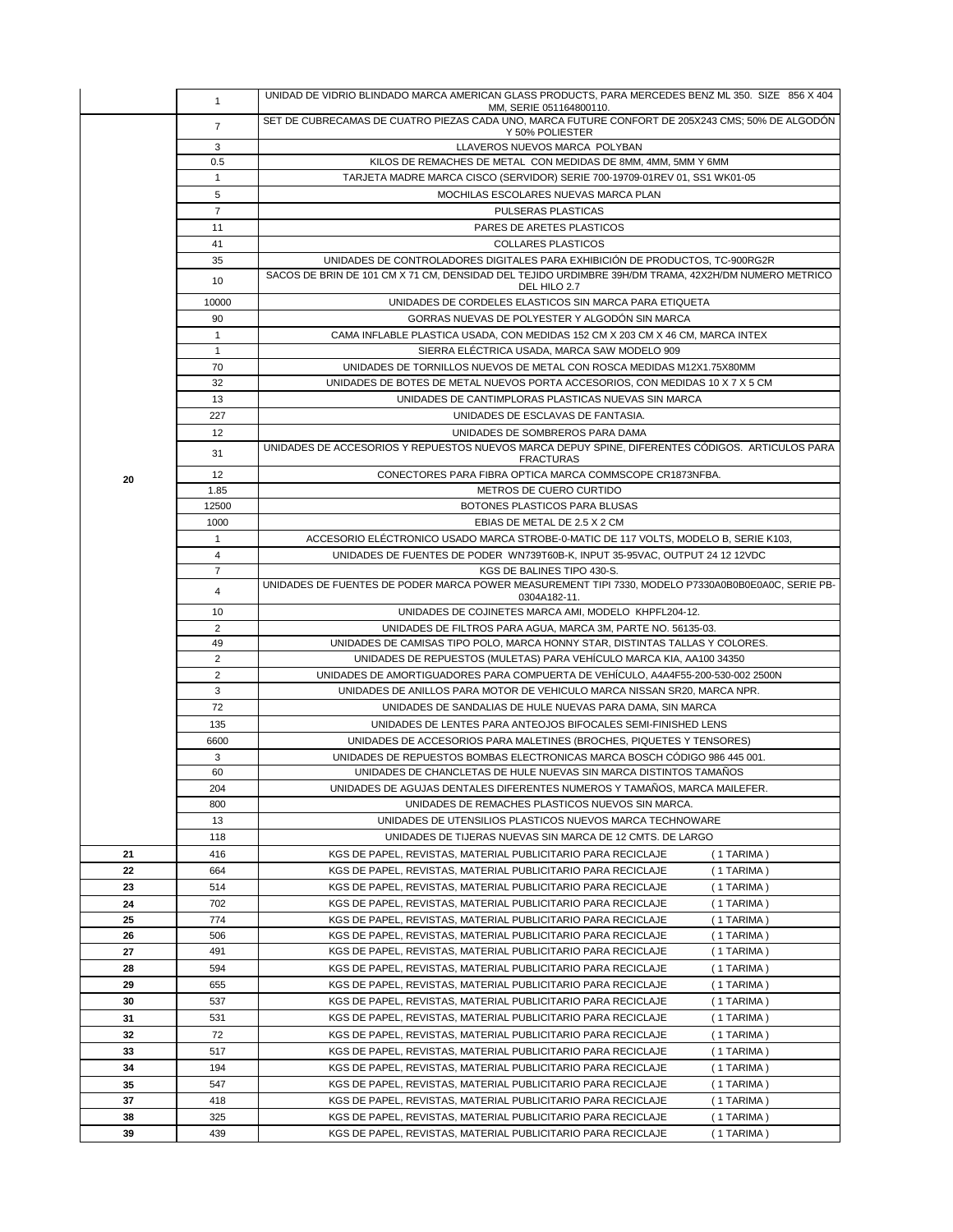|                | UNIDAD DE VIDRIO BLINDADO MARCA AMERICAN GLASS PRODUCTS, PARA MERCEDES BENZ ML 350. SIZE 856 X 404                                                                    |
|----------------|-----------------------------------------------------------------------------------------------------------------------------------------------------------------------|
| $\mathbf{1}$   | MM, SERIE 051164800110.                                                                                                                                               |
| $\overline{7}$ | SET DE CUBRECAMAS DE CUATRO PIEZAS CADA UNO, MARCA FUTURE CONFORT DE 205X243 CMS; 50% DE ALGODÓN                                                                      |
|                | Y 50% POLIESTER<br>LLAVEROS NUEVOS MARCA POLYBAN                                                                                                                      |
|                | KILOS DE REMACHES DE METAL CON MEDIDAS DE 8MM, 4MM, 5MM Y 6MM                                                                                                         |
|                | TARJETA MADRE MARCA CISCO (SERVIDOR) SERIE 700-19709-01REV 01, SS1 WK01-05                                                                                            |
|                | MOCHILAS ESCOLARES NUEVAS MARCA PLAN                                                                                                                                  |
|                | PULSERAS PLASTICAS                                                                                                                                                    |
|                | PARES DE ARETES PLASTICOS                                                                                                                                             |
|                | COLLARES PLASTICOS                                                                                                                                                    |
|                | UNIDADES DE CONTROLADORES DIGITALES PARA EXHIBICIÓN DE PRODUCTOS, TC-900RG2R                                                                                          |
|                | SACOS DE BRIN DE 101 CM X 71 CM, DENSIDAD DEL TEJIDO URDIMBRE 39H/DM TRAMA, 42X2H/DM NUMERO METRICO                                                                   |
|                | DEL HILO 2.7                                                                                                                                                          |
| 10000          | UNIDADES DE CORDELES ELASTICOS SIN MARCA PARA ETIQUETA                                                                                                                |
| 90             | GORRAS NUEVAS DE POLYESTER Y ALGODÓN SIN MARCA                                                                                                                        |
| $\mathbf{1}$   | CAMA INFLABLE PLASTICA USADA, CON MEDIDAS 152 CM X 203 CM X 46 CM, MARCA INTEX                                                                                        |
| $\mathbf{1}$   | SIERRA ELÉCTRICA USADA, MARCA SAW MODELO 909                                                                                                                          |
| 70             | UNIDADES DE TORNILLOS NUEVOS DE METAL CON ROSCA MEDIDAS M12X1.75X80MM                                                                                                 |
| 32             | UNIDADES DE BOTES DE METAL NUEVOS PORTA ACCESORIOS, CON MEDIDAS 10 X 7 X 5 CM                                                                                         |
| 13             | UNIDADES DE CANTIMPLORAS PLASTICAS NUEVAS SIN MARCA                                                                                                                   |
| 227            | UNIDADES DE ESCLAVAS DE FANTASIA.                                                                                                                                     |
| 12             | UNIDADES DE SOMBREROS PARA DAMA                                                                                                                                       |
|                | UNIDADES DE ACCESORIOS Y REPUESTOS NUEVOS MARCA DEPUY SPINE, DIFERENTES CÓDIGOS. ARTICULOS PARA                                                                       |
|                | <b>FRACTURAS</b>                                                                                                                                                      |
|                | CONECTORES PARA FIBRA OPTICA MARCA COMMSCOPE CR1873NFBA.<br>METROS DE CUERO CURTIDO                                                                                   |
|                | BOTONES PLASTICOS PARA BLUSAS                                                                                                                                         |
|                | EBIAS DE METAL DE 2.5 X 2 CM                                                                                                                                          |
|                | ACCESORIO ELÉCTRONICO USADO MARCA STROBE-0-MATIC DE 117 VOLTS, MODELO B, SERIE K103,                                                                                  |
|                | UNIDADES DE FUENTES DE PODER WN739T60B-K, INPUT 35-95VAC, OUTPUT 24 12 12VDC                                                                                          |
|                | KGS DE BALINES TIPO 430-S.                                                                                                                                            |
|                | UNIDADES DE FUENTES DE PODER MARCA POWER MEASUREMENT TIPI 7330, MODELO P7330A0B0B0E0A0C, SERIE PB-                                                                    |
|                | 0304A182-11.                                                                                                                                                          |
|                |                                                                                                                                                                       |
| 10             | UNIDADES DE COJINETES MARCA AMI, MODELO KHPFL204-12.                                                                                                                  |
| $\overline{2}$ | UNIDADES DE FILTROS PARA AGUA, MARCA 3M, PARTE NO. 56135-03.                                                                                                          |
| 49             | UNIDADES DE CAMISAS TIPO POLO, MARCA HONNY STAR, DISTINTAS TALLAS Y COLORES.                                                                                          |
| 2              | UNIDADES DE REPUESTOS (MULETAS) PARA VEHÍCULO MARCA KIA, AA100 34350                                                                                                  |
| $\overline{2}$ | UNIDADES DE AMORTIGUADORES PARA COMPUERTA DE VEHÍCULO, A4A4F55-200-530-002 2500N                                                                                      |
| 3              | UNIDADES DE ANILLOS PARA MOTOR DE VEHICULO MARCA NISSAN SR20, MARCA NPR.                                                                                              |
| 72             | UNIDADES DE SANDALIAS DE HULE NUEVAS PARA DAMA, SIN MARCA                                                                                                             |
| 135            | UNIDADES DE LENTES PARA ANTEOJOS BIFOCALES SEMI-FINISHED LENS                                                                                                         |
| 6600           | UNIDADES DE ACCESORIOS PARA MALETINES (BROCHES, PIQUETES Y TENSORES)                                                                                                  |
| 3              | UNIDADES DE REPUESTOS BOMBAS ELECTRONICAS MARCA BOSCH CÓDIGO 986 445 001.                                                                                             |
| 60             | UNIDADES DE CHANCLETAS DE HULE NUEVAS SIN MARCA DISTINTOS TAMAÑOS                                                                                                     |
| 204            | UNIDADES DE AGUJAS DENTALES DIFERENTES NUMEROS Y TAMANOS, MARCA MAILEFER.                                                                                             |
| 800            | UNIDADES DE REMACHES PLASTICOS NUEVOS SIN MARCA.                                                                                                                      |
| 13             | UNIDADES DE UTENSILIOS PLASTICOS NUEVOS MARCA TECHNOWARE                                                                                                              |
| 118            | UNIDADES DE TIJERAS NUEVAS SIN MARCA DE 12 CMTS. DE LARGO                                                                                                             |
| 416            | KGS DE PAPEL, REVISTAS, MATERIAL PUBLICITARIO PARA RECICLAJE<br>(1 TARIMA)                                                                                            |
| 664            | KGS DE PAPEL, REVISTAS, MATERIAL PUBLICITARIO PARA RECICLAJE<br>(1 TARIMA)                                                                                            |
| 514            | KGS DE PAPEL, REVISTAS, MATERIAL PUBLICITARIO PARA RECICLAJE<br>(1 TARIMA)                                                                                            |
| 702            | KGS DE PAPEL, REVISTAS, MATERIAL PUBLICITARIO PARA RECICLAJE<br>(1 TARIMA)                                                                                            |
| 774            | KGS DE PAPEL, REVISTAS, MATERIAL PUBLICITARIO PARA RECICLAJE<br>(1 TARIMA)                                                                                            |
| 506            | KGS DE PAPEL, REVISTAS, MATERIAL PUBLICITARIO PARA RECICLAJE<br>(1 TARIMA)                                                                                            |
| 491            | KGS DE PAPEL, REVISTAS, MATERIAL PUBLICITARIO PARA RECICLAJE<br>(1 TARIMA)                                                                                            |
| 594            | KGS DE PAPEL, REVISTAS, MATERIAL PUBLICITARIO PARA RECICLAJE<br>$(1)$ TARIMA)                                                                                         |
| 655            | KGS DE PAPEL, REVISTAS, MATERIAL PUBLICITARIO PARA RECICLAJE<br>(1 TARIMA)                                                                                            |
| 537            | KGS DE PAPEL, REVISTAS, MATERIAL PUBLICITARIO PARA RECICLAJE<br>$(1)$ TARIMA)                                                                                         |
| 531            | KGS DE PAPEL, REVISTAS, MATERIAL PUBLICITARIO PARA RECICLAJE<br>(1 TARIMA)                                                                                            |
| 72             | KGS DE PAPEL, REVISTAS, MATERIAL PUBLICITARIO PARA RECICLAJE<br>(1 TARIMA)                                                                                            |
| 517            | KGS DE PAPEL, REVISTAS, MATERIAL PUBLICITARIO PARA RECICLAJE<br>(1 TARIMA)                                                                                            |
| 194            | KGS DE PAPEL, REVISTAS, MATERIAL PUBLICITARIO PARA RECICLAJE<br>(1 TARIMA)                                                                                            |
| 547            | KGS DE PAPEL, REVISTAS, MATERIAL PUBLICITARIO PARA RECICLAJE<br>(1 TARIMA)                                                                                            |
| 418<br>325     | KGS DE PAPEL, REVISTAS, MATERIAL PUBLICITARIO PARA RECICLAJE<br>(1 TARIMA)<br>KGS DE PAPEL, REVISTAS, MATERIAL PUBLICITARIO PARA RECICLAJE<br>$(1)$ TARIMA)           |
|                | 3<br>0.5<br>$\mathbf{1}$<br>5<br>$\overline{7}$<br>11<br>41<br>35<br>10<br>31<br>12<br>1.85<br>12500<br>1000<br>$\mathbf{1}$<br>4<br>$\overline{7}$<br>$\overline{4}$ |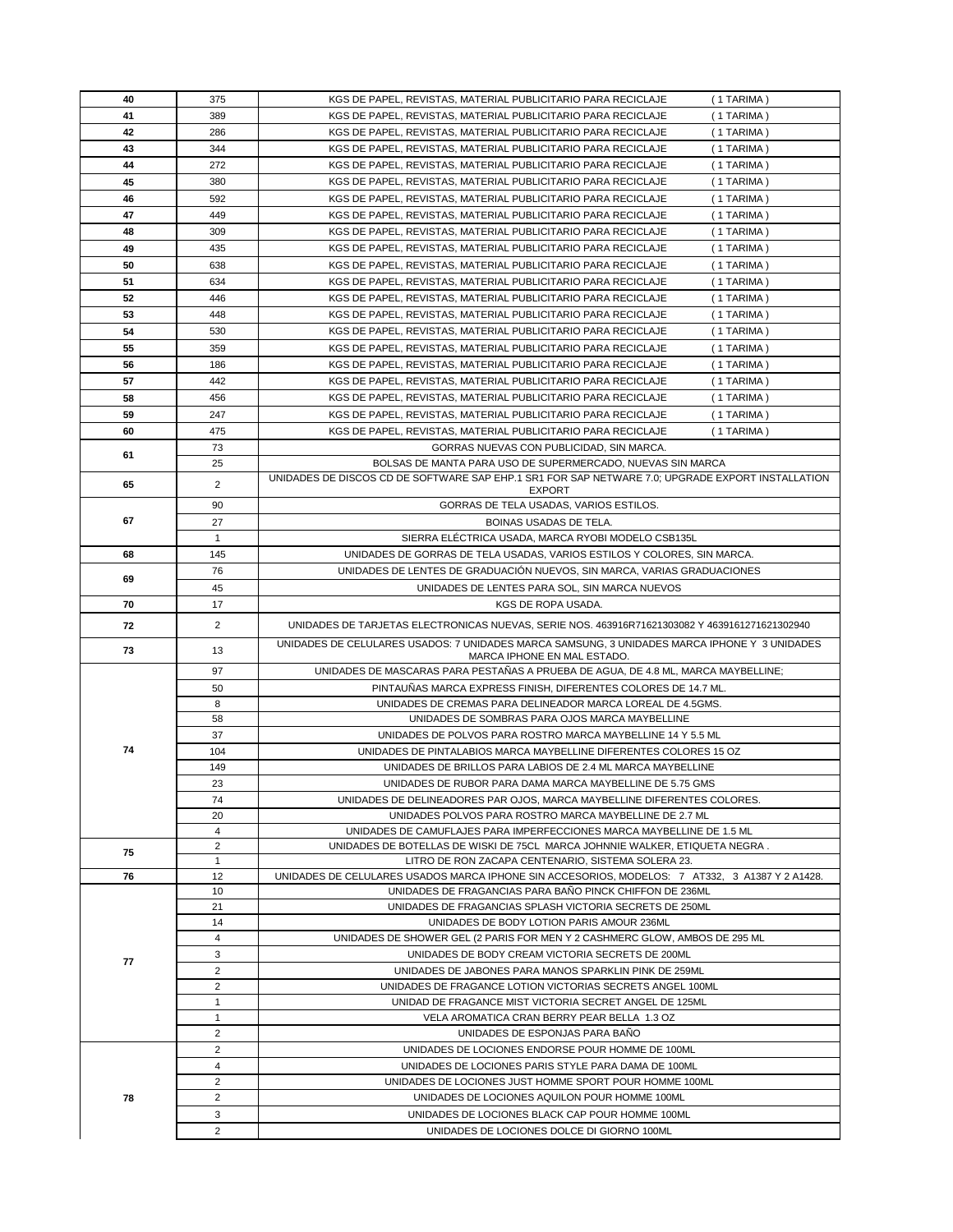| 40 | 375                 | KGS DE PAPEL, REVISTAS, MATERIAL PUBLICITARIO PARA RECICLAJE<br>(1 TARIMA)                                                        |
|----|---------------------|-----------------------------------------------------------------------------------------------------------------------------------|
| 41 | 389                 | KGS DE PAPEL, REVISTAS, MATERIAL PUBLICITARIO PARA RECICLAJE<br>(1 TARIMA)                                                        |
| 42 | 286                 | KGS DE PAPEL, REVISTAS, MATERIAL PUBLICITARIO PARA RECICLAJE<br>(1 TARIMA)                                                        |
| 43 | 344                 | KGS DE PAPEL, REVISTAS, MATERIAL PUBLICITARIO PARA RECICLAJE<br>(1 TARIMA)                                                        |
| 44 | 272                 | KGS DE PAPEL, REVISTAS, MATERIAL PUBLICITARIO PARA RECICLAJE<br>(1 TARIMA)                                                        |
| 45 | 380                 | KGS DE PAPEL, REVISTAS, MATERIAL PUBLICITARIO PARA RECICLAJE<br>(1 TARIMA)                                                        |
| 46 | 592                 | KGS DE PAPEL, REVISTAS, MATERIAL PUBLICITARIO PARA RECICLAJE<br>(1 TARIMA)                                                        |
| 47 | 449                 | KGS DE PAPEL, REVISTAS, MATERIAL PUBLICITARIO PARA RECICLAJE<br>(1 TARIMA)                                                        |
| 48 | 309                 | KGS DE PAPEL, REVISTAS, MATERIAL PUBLICITARIO PARA RECICLAJE<br>(1 TARIMA)                                                        |
| 49 | 435                 | KGS DE PAPEL, REVISTAS, MATERIAL PUBLICITARIO PARA RECICLAJE<br>(1 TARIMA)                                                        |
| 50 | 638                 | KGS DE PAPEL, REVISTAS, MATERIAL PUBLICITARIO PARA RECICLAJE<br>(1 TARIMA)                                                        |
| 51 | 634                 | KGS DE PAPEL, REVISTAS, MATERIAL PUBLICITARIO PARA RECICLAJE<br>(1 TARIMA)                                                        |
| 52 | 446                 | KGS DE PAPEL, REVISTAS, MATERIAL PUBLICITARIO PARA RECICLAJE<br>(1 TARIMA)                                                        |
| 53 | 448                 | KGS DE PAPEL, REVISTAS, MATERIAL PUBLICITARIO PARA RECICLAJE<br>(1 TARIMA)                                                        |
| 54 | 530                 | KGS DE PAPEL, REVISTAS, MATERIAL PUBLICITARIO PARA RECICLAJE<br>(1 TARIMA)                                                        |
| 55 | 359                 | KGS DE PAPEL, REVISTAS, MATERIAL PUBLICITARIO PARA RECICLAJE<br>(1 TARIMA)                                                        |
| 56 | 186                 | KGS DE PAPEL, REVISTAS, MATERIAL PUBLICITARIO PARA RECICLAJE<br>(1 TARIMA)                                                        |
| 57 | 442                 | KGS DE PAPEL, REVISTAS, MATERIAL PUBLICITARIO PARA RECICLAJE<br>(1 TARIMA)                                                        |
| 58 | 456                 | KGS DE PAPEL, REVISTAS, MATERIAL PUBLICITARIO PARA RECICLAJE<br>(1 TARIMA)                                                        |
| 59 | 247                 | KGS DE PAPEL, REVISTAS, MATERIAL PUBLICITARIO PARA RECICLAJE<br>(1 TARIMA)                                                        |
| 60 | 475                 | KGS DE PAPEL, REVISTAS, MATERIAL PUBLICITARIO PARA RECICLAJE<br>(1 TARIMA)                                                        |
|    | 73                  | GORRAS NUEVAS CON PUBLICIDAD, SIN MARCA.                                                                                          |
| 61 | 25                  | BOLSAS DE MANTA PARA USO DE SUPERMERCADO, NUEVAS SIN MARCA                                                                        |
|    |                     | UNIDADES DE DISCOS CD DE SOFTWARE SAP EHP.1 SR1 FOR SAP NETWARE 7.0; UPGRADE EXPORT INSTALLATION                                  |
| 65 | $\overline{2}$      | <b>EXPORT</b>                                                                                                                     |
|    | 90                  | GORRAS DE TELA USADAS, VARIOS ESTILOS.                                                                                            |
| 67 | 27                  | <b>BOINAS USADAS DE TELA.</b>                                                                                                     |
|    | $\mathbf{1}$        | SIERRA ELÉCTRICA USADA, MARCA RYOBI MODELO CSB135L                                                                                |
| 68 | 145                 | UNIDADES DE GORRAS DE TELA USADAS, VARIOS ESTILOS Y COLORES, SIN MARCA.                                                           |
| 69 | 76                  | UNIDADES DE LENTES DE GRADUACIÓN NUEVOS, SIN MARCA, VARIAS GRADUACIONES                                                           |
|    | 45                  | UNIDADES DE LENTES PARA SOL, SIN MARCA NUEVOS                                                                                     |
| 70 | 17                  | KGS DE ROPA USADA.                                                                                                                |
|    |                     |                                                                                                                                   |
| 72 | $\overline{2}$      | UNIDADES DE TARJETAS ELECTRONICAS NUEVAS, SERIE NOS. 463916R71621303082 Y 4639161271621302940                                     |
| 73 | 13                  | UNIDADES DE CELULARES USADOS: 7 UNIDADES MARCA SAMSUNG, 3 UNIDADES MARCA IPHONE Y 3 UNIDADES<br>MARCA IPHONE EN MAL ESTADO.       |
|    | 97                  | UNIDADES DE MASCARAS PARA PESTAÑAS A PRUEBA DE AGUA, DE 4.8 ML, MARCA MAYBELLINE;                                                 |
|    | 50                  | PINTAUÑAS MARCA EXPRESS FINISH, DIFERENTES COLORES DE 14.7 ML.                                                                    |
|    | 8                   | UNIDADES DE CREMAS PARA DELINEADOR MARCA LOREAL DE 4.5GMS.                                                                        |
|    | 58                  | UNIDADES DE SOMBRAS PARA OJOS MARCA MAYBELLINE                                                                                    |
|    | 37                  | UNIDADES DE POLVOS PARA ROSTRO MARCA MAYBELLINE 14 Y 5.5 ML                                                                       |
| 74 | 104                 | UNIDADES DE PINTALABIOS MARCA MAYBELLINE DIFERENTES COLORES 15 OZ                                                                 |
|    | 149                 | UNIDADES DE BRILLOS PARA LABIOS DE 2.4 ML MARCA MAYBELLINE                                                                        |
|    | 23                  | UNIDADES DE RUBOR PARA DAMA MARCA MAYBELLINE DE 5.75 GMS                                                                          |
|    | 74                  | UNIDADES DE DELINEADORES PAR OJOS, MARCA MAYBELLINE DIFERENTES COLORES.                                                           |
|    | 20                  | UNIDADES POLVOS PARA ROSTRO MARCA MAYBELLINE DE 2.7 ML                                                                            |
|    | 4                   | UNIDADES DE CAMUFLAJES PARA IMPERFECCIONES MARCA MAYBELLINE DE 1.5 ML                                                             |
| 75 | 2<br>$\mathbf{1}$   | UNIDADES DE BOTELLAS DE WISKI DE 75CL MARCA JOHNNIE WALKER, ETIQUETA NEGRA.<br>LITRO DE RON ZACAPA CENTENARIO. SISTEMA SOLERA 23. |
| 76 | 12                  | UNIDADES DE CELULARES USADOS MARCA IPHONE SIN ACCESORIOS, MODELOS: 7 AT332, 3 A1387 Y 2 A1428.                                    |
|    | 10                  | UNIDADES DE FRAGANCIAS PARA BAÑO PINCK CHIFFON DE 236ML                                                                           |
|    | 21                  | UNIDADES DE FRAGANCIAS SPLASH VICTORIA SECRETS DE 250ML                                                                           |
|    | 14                  | UNIDADES DE BODY LOTION PARIS AMOUR 236ML                                                                                         |
|    | $\overline{4}$      | UNIDADES DE SHOWER GEL (2 PARIS FOR MEN Y 2 CASHMERC GLOW, AMBOS DE 295 ML                                                        |
| 77 | 3                   | UNIDADES DE BODY CREAM VICTORIA SECRETS DE 200ML                                                                                  |
|    | $\overline{2}$      | UNIDADES DE JABONES PARA MANOS SPARKLIN PINK DE 259ML                                                                             |
|    | $\overline{2}$      | UNIDADES DE FRAGANCE LOTION VICTORIAS SECRETS ANGEL 100ML                                                                         |
|    | $\mathbf{1}$        | UNIDAD DE FRAGANCE MIST VICTORIA SECRET ANGEL DE 125ML                                                                            |
|    | $\mathbf{1}$        | VELA AROMATICA CRAN BERRY PEAR BELLA 1.3 OZ                                                                                       |
|    | $\overline{2}$      | UNIDADES DE ESPONJAS PARA BAÑO                                                                                                    |
|    | $\overline{2}$      | UNIDADES DE LOCIONES ENDORSE POUR HOMME DE 100ML                                                                                  |
|    | $\overline{4}$      | UNIDADES DE LOCIONES PARIS STYLE PARA DAMA DE 100ML                                                                               |
| 78 | 2<br>$\overline{2}$ | UNIDADES DE LOCIONES JUST HOMME SPORT POUR HOMME 100ML<br>UNIDADES DE LOCIONES AQUILON POUR HOMME 100ML                           |
|    | 3                   | UNIDADES DE LOCIONES BLACK CAP POUR HOMME 100ML                                                                                   |
|    | $\overline{2}$      | UNIDADES DE LOCIONES DOLCE DI GIORNO 100ML                                                                                        |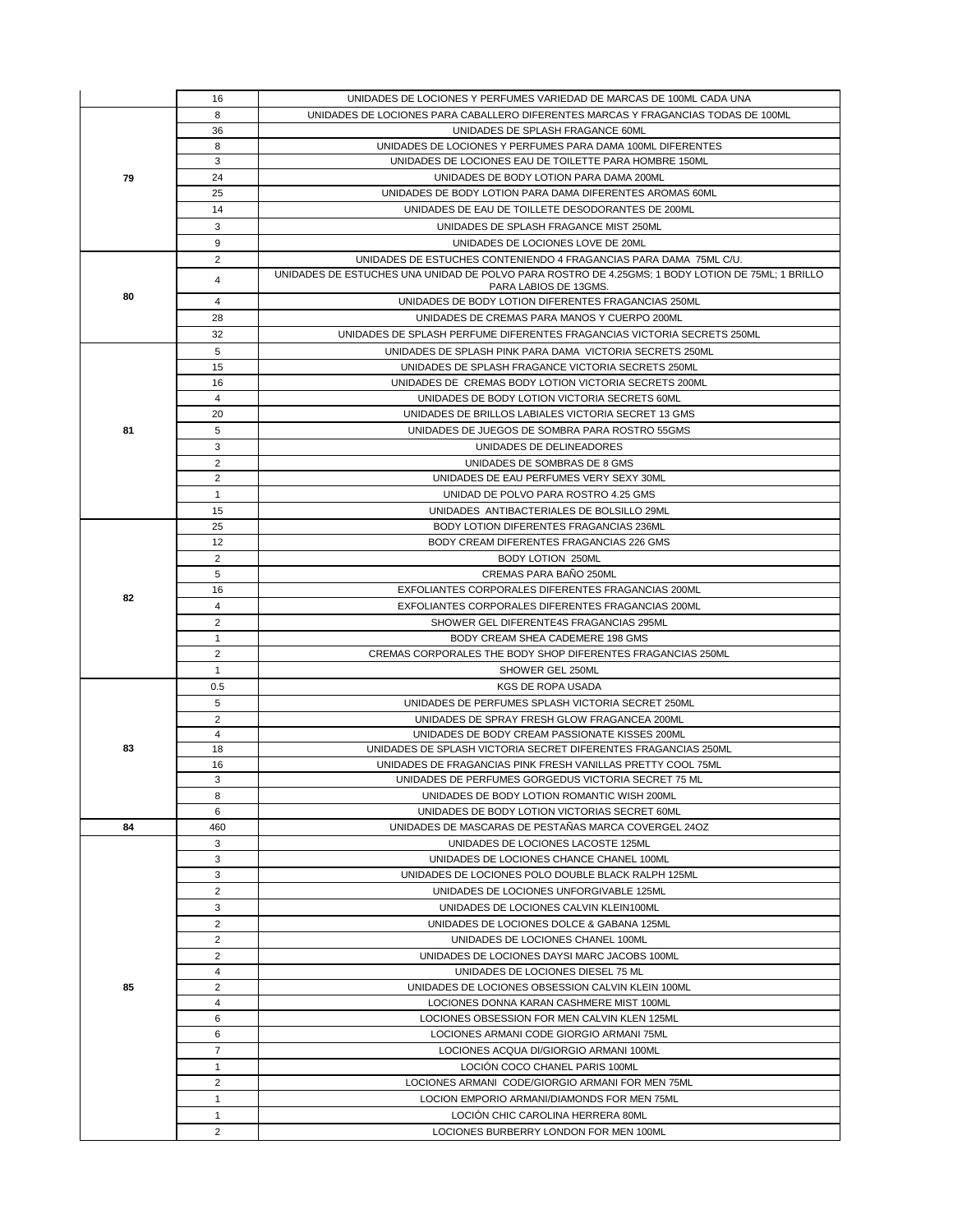|    | 16             | UNIDADES DE LOCIONES Y PERFUMES VARIEDAD DE MARCAS DE 100ML CADA UNA                             |
|----|----------------|--------------------------------------------------------------------------------------------------|
|    | 8              | UNIDADES DE LOCIONES PARA CABALLERO DIFERENTES MARCAS Y FRAGANCIAS TODAS DE 100ML                |
|    | 36             | UNIDADES DE SPLASH FRAGANCE 60ML                                                                 |
|    | 8              | UNIDADES DE LOCIONES Y PERFUMES PARA DAMA 100ML DIFERENTES                                       |
|    | 3              | UNIDADES DE LOCIONES EAU DE TOILETTE PARA HOMBRE 150ML                                           |
| 79 | 24             | UNIDADES DE BODY LOTION PARA DAMA 200ML                                                          |
|    | 25             | UNIDADES DE BODY LOTION PARA DAMA DIFERENTES AROMAS 60ML                                         |
|    | 14             | UNIDADES DE EAU DE TOILLETE DESODORANTES DE 200ML                                                |
|    | 3              | UNIDADES DE SPLASH FRAGANCE MIST 250ML                                                           |
|    | 9              | UNIDADES DE LOCIONES LOVE DE 20ML                                                                |
|    | $\overline{2}$ | UNIDADES DE ESTUCHES CONTENIENDO 4 FRAGANCIAS PARA DAMA 75ML C/U.                                |
| 80 | 4              | UNIDADES DE ESTUCHES UNA UNIDAD DE POLVO PARA ROSTRO DE 4.25GMS; 1 BODY LOTION DE 75ML; 1 BRILLO |
|    |                | PARA LABIOS DE 13GMS.                                                                            |
|    | 4              | UNIDADES DE BODY LOTION DIFERENTES FRAGANCIAS 250ML                                              |
|    | 28             | UNIDADES DE CREMAS PARA MANOS Y CUERPO 200ML                                                     |
|    | 32             | UNIDADES DE SPLASH PERFUME DIFERENTES FRAGANCIAS VICTORIA SECRETS 250ML                          |
|    | 5              | UNIDADES DE SPLASH PINK PARA DAMA VICTORIA SECRETS 250ML                                         |
|    | 15             | UNIDADES DE SPLASH FRAGANCE VICTORIA SECRETS 250ML                                               |
|    | 16             | UNIDADES DE CREMAS BODY LOTION VICTORIA SECRETS 200ML                                            |
|    | $\overline{4}$ | UNIDADES DE BODY LOTION VICTORIA SECRETS 60ML                                                    |
|    | 20             | UNIDADES DE BRILLOS LABIALES VICTORIA SECRET 13 GMS                                              |
| 81 | 5              | UNIDADES DE JUEGOS DE SOMBRA PARA ROSTRO 55GMS                                                   |
|    | 3              | UNIDADES DE DELINEADORES                                                                         |
|    | $\overline{2}$ | UNIDADES DE SOMBRAS DE 8 GMS                                                                     |
|    | $\overline{2}$ | UNIDADES DE EAU PERFUMES VERY SEXY 30ML                                                          |
|    | $\mathbf{1}$   | UNIDAD DE POLVO PARA ROSTRO 4.25 GMS                                                             |
|    | 15             | UNIDADES ANTIBACTERIALES DE BOLSILLO 29ML                                                        |
|    | 25             | BODY LOTION DIFERENTES FRAGANCIAS 236ML                                                          |
|    | 12             | BODY CREAM DIFERENTES FRAGANCIAS 226 GMS                                                         |
|    | $\overline{2}$ |                                                                                                  |
|    |                | <b>BODY LOTION 250ML</b>                                                                         |
|    | 5              | CREMAS PARA BAÑO 250ML                                                                           |
| 82 | 16             | EXFOLIANTES CORPORALES DIFERENTES FRAGANCIAS 200ML                                               |
|    | $\overline{4}$ | EXFOLIANTES CORPORALES DIFERENTES FRAGANCIAS 200ML                                               |
|    | $\overline{2}$ | SHOWER GEL DIFERENTE4S FRAGANCIAS 295ML                                                          |
|    | $\mathbf{1}$   | BODY CREAM SHEA CADEMERE 198 GMS                                                                 |
|    | $\overline{2}$ | CREMAS CORPORALES THE BODY SHOP DIFERENTES FRAGANCIAS 250ML                                      |
|    | $\mathbf{1}$   | SHOWER GEL 250ML                                                                                 |
|    | 0.5            | <b>KGS DE ROPA USADA</b>                                                                         |
|    | 5              | UNIDADES DE PERFUMES SPLASH VICTORIA SECRET 250ML                                                |
|    | $\overline{2}$ | UNIDADES DE SPRAY FRESH GLOW FRAGANCEA 200ML                                                     |
|    | 4              | UNIDADES DE BODY CREAM PASSIONATE KISSES 200ML                                                   |
| 83 | 18             | UNIDADES DE SPLASH VICTORIA SECRET DIFERENTES FRAGANCIAS 250ML                                   |
|    | 16             | UNIDADES DE FRAGANCIAS PINK FRESH VANILLAS PRETTY COOL 75ML                                      |
|    | 3              | UNIDADES DE PERFUMES GORGEDUS VICTORIA SECRET 75 ML                                              |
|    | 8              | UNIDADES DE BODY LOTION ROMANTIC WISH 200ML                                                      |
|    | 6              | UNIDADES DE BODY LOTION VICTORIAS SECRET 60ML                                                    |
| 84 | 460            | UNIDADES DE MASCARAS DE PESTAÑAS MARCA COVERGEL 240Z                                             |
|    | 3              | UNIDADES DE LOCIONES LACOSTE 125ML                                                               |
|    | 3              | UNIDADES DE LOCIONES CHANCE CHANEL 100ML                                                         |
|    | 3              | UNIDADES DE LOCIONES POLO DOUBLE BLACK RALPH 125ML                                               |
|    |                |                                                                                                  |
|    | $\overline{2}$ | UNIDADES DE LOCIONES UNFORGIVABLE 125ML                                                          |
|    | 3              | UNIDADES DE LOCIONES CALVIN KLEIN100ML                                                           |
|    | 2              | UNIDADES DE LOCIONES DOLCE & GABANA 125ML                                                        |
|    | $\overline{2}$ | UNIDADES DE LOCIONES CHANEL 100ML                                                                |
|    | 2              | UNIDADES DE LOCIONES DAYSI MARC JACOBS 100ML                                                     |
|    | $\overline{4}$ | UNIDADES DE LOCIONES DIESEL 75 ML                                                                |
| 85 | $\overline{2}$ | UNIDADES DE LOCIONES OBSESSION CALVIN KLEIN 100ML                                                |
|    | $\overline{4}$ | LOCIONES DONNA KARAN CASHMERE MIST 100ML                                                         |
|    | 6              | LOCIONES OBSESSION FOR MEN CALVIN KLEN 125ML                                                     |
|    | 6              | LOCIONES ARMANI CODE GIORGIO ARMANI 75ML                                                         |
|    | $\overline{7}$ | LOCIONES ACQUA DI/GIORGIO ARMANI 100ML                                                           |
|    | $\mathbf{1}$   | LOCIÓN COCO CHANEL PARIS 100ML                                                                   |
|    | 2              | LOCIONES ARMANI CODE/GIORGIO ARMANI FOR MEN 75ML                                                 |
|    | $\mathbf{1}$   | LOCION EMPORIO ARMANI/DIAMONDS FOR MEN 75ML                                                      |
|    | $\mathbf{1}$   | LOCIÓN CHIC CAROLINA HERRERA 80ML                                                                |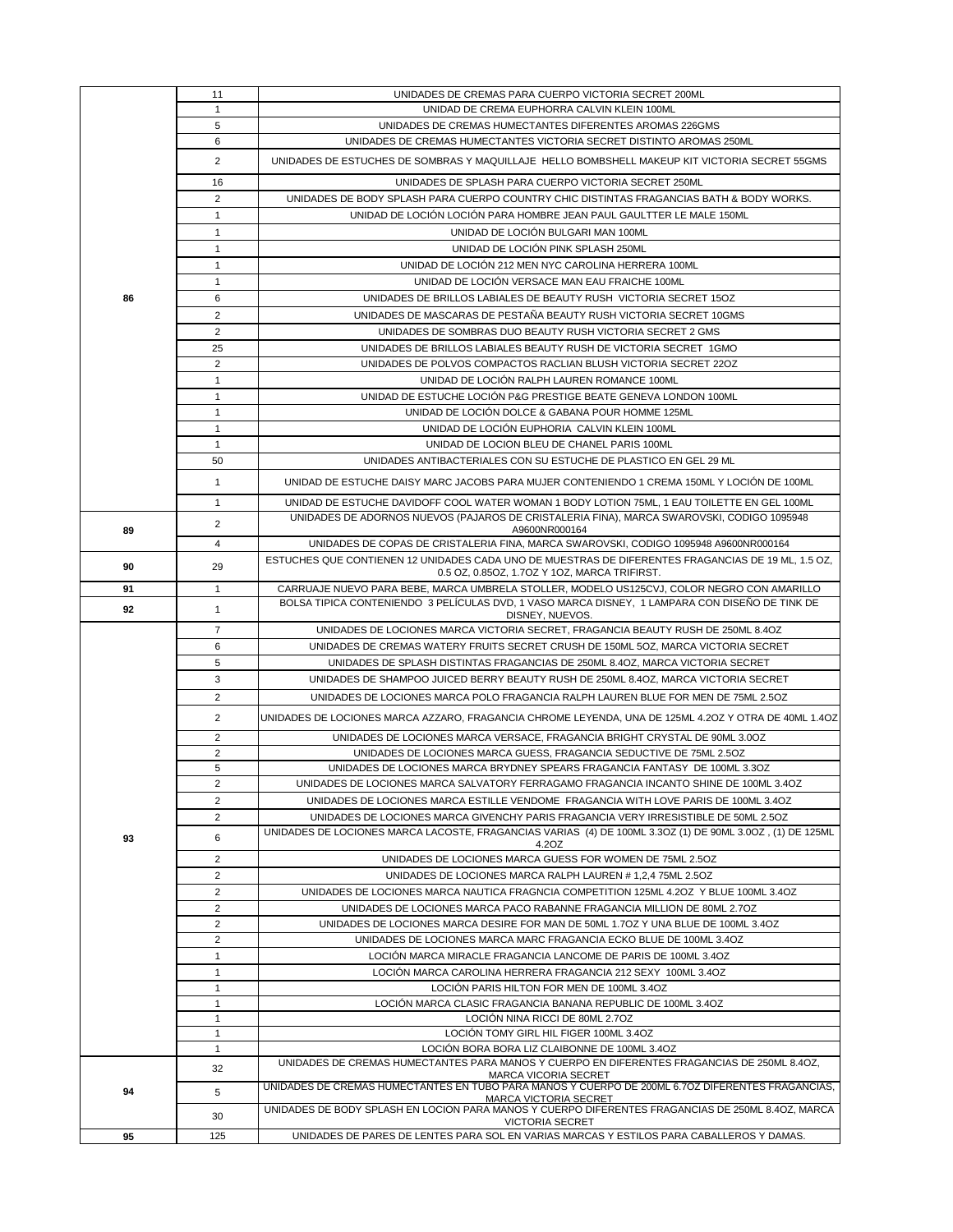|    | 11                               | UNIDADES DE CREMAS PARA CUERPO VICTORIA SECRET 200ML                                                                                                                                         |
|----|----------------------------------|----------------------------------------------------------------------------------------------------------------------------------------------------------------------------------------------|
|    | $\mathbf{1}$                     | UNIDAD DE CREMA EUPHORRA CALVIN KLEIN 100ML                                                                                                                                                  |
|    | 5                                | UNIDADES DE CREMAS HUMECTANTES DIFERENTES AROMAS 226GMS                                                                                                                                      |
|    | 6                                | UNIDADES DE CREMAS HUMECTANTES VICTORIA SECRET DISTINTO AROMAS 250ML                                                                                                                         |
|    | $\overline{2}$                   | UNIDADES DE ESTUCHES DE SOMBRAS Y MAQUILLAJE HELLO BOMBSHELL MAKEUP KIT VICTORIA SECRET 55GMS                                                                                                |
|    | 16                               | UNIDADES DE SPLASH PARA CUERPO VICTORIA SECRET 250ML                                                                                                                                         |
|    | 2                                | UNIDADES DE BODY SPLASH PARA CUERPO COUNTRY CHIC DISTINTAS FRAGANCIAS BATH & BODY WORKS.                                                                                                     |
|    | 1                                | UNIDAD DE LOCIÓN LOCIÓN PARA HOMBRE JEAN PAUL GAULTTER LE MALE 150ML                                                                                                                         |
|    | $\mathbf{1}$                     | UNIDAD DE LOCIÓN BULGARI MAN 100ML                                                                                                                                                           |
|    | $\mathbf{1}$                     | UNIDAD DE LOCIÓN PINK SPLASH 250ML                                                                                                                                                           |
|    | 1                                | UNIDAD DE LOCIÓN 212 MEN NYC CAROLINA HERRERA 100ML                                                                                                                                          |
|    | 1                                | UNIDAD DE LOCIÓN VERSACE MAN EAU FRAICHE 100ML                                                                                                                                               |
| 86 | 6                                | UNIDADES DE BRILLOS LABIALES DE BEAUTY RUSH VICTORIA SECRET 15OZ                                                                                                                             |
|    | $\overline{2}$                   | UNIDADES DE MASCARAS DE PESTANA BEAUTY RUSH VICTORIA SECRET 10GMS                                                                                                                            |
|    | $\overline{2}$                   | UNIDADES DE SOMBRAS DUO BEAUTY RUSH VICTORIA SECRET 2 GMS                                                                                                                                    |
|    | 25                               | UNIDADES DE BRILLOS LABIALES BEAUTY RUSH DE VICTORIA SECRET 1GMO                                                                                                                             |
|    | $\overline{2}$                   | UNIDADES DE POLVOS COMPACTOS RACLIAN BLUSH VICTORIA SECRET 220Z                                                                                                                              |
|    | $\mathbf{1}$                     | UNIDAD DE LOCIÓN RALPH LAUREN ROMANCE 100ML                                                                                                                                                  |
|    | $\mathbf{1}$                     | UNIDAD DE ESTUCHE LOCIÓN P&G PRESTIGE BEATE GENEVA LONDON 100ML                                                                                                                              |
|    | 1                                | UNIDAD DE LOCIÓN DOLCE & GABANA POUR HOMME 125ML                                                                                                                                             |
|    | $\mathbf{1}$                     | UNIDAD DE LOCIÓN EUPHORIA CALVIN KLEIN 100ML                                                                                                                                                 |
|    | $\mathbf{1}$                     | UNIDAD DE LOCION BLEU DE CHANEL PARIS 100ML                                                                                                                                                  |
|    | 50                               | UNIDADES ANTIBACTERIALES CON SU ESTUCHE DE PLASTICO EN GEL 29 ML                                                                                                                             |
|    | $\mathbf{1}$                     | UNIDAD DE ESTUCHE DAISY MARC JACOBS PARA MUJER CONTENIENDO 1 CREMA 150ML Y LOCIÓN DE 100ML                                                                                                   |
|    |                                  |                                                                                                                                                                                              |
|    | $\mathbf{1}$                     | UNIDAD DE ESTUCHE DAVIDOFF COOL WATER WOMAN 1 BODY LOTION 75ML, 1 EAU TOILETTE EN GEL 100ML                                                                                                  |
| 89 | $\overline{2}$                   | UNIDADES DE ADORNOS NUEVOS (PAJAROS DE CRISTALERIA FINA), MARCA SWAROVSKI, CODIGO 1095948<br>A9600NR000164                                                                                   |
|    | 4                                | UNIDADES DE COPAS DE CRISTALERIA FINA, MARCA SWAROVSKI, CODIGO 1095948 A9600NR000164                                                                                                         |
| 90 | 29                               | ESTUCHES QUE CONTIENEN 12 UNIDADES CADA UNO DE MUESTRAS DE DIFERENTES FRAGANCIAS DE 19 ML, 1.5 OZ,                                                                                           |
|    |                                  | 0.5 OZ, 0.85OZ, 1.7OZ Y 1OZ, MARCA TRIFIRST.                                                                                                                                                 |
| 91 | 1                                | CARRUAJE NUEVO PARA BEBE, MARCA UMBRELA STOLLER, MODELO US125CVJ, COLOR NEGRO CON AMARILLO<br>BOLSA TIPICA CONTENIENDO 3 PELÍCULAS DVD, 1 VASO MARCA DISNEY, 1 LAMPARA CON DISEÑO DE TINK DE |
| 92 | $\mathbf{1}$                     | DISNEY, NUEVOS.                                                                                                                                                                              |
|    | $\overline{7}$                   | UNIDADES DE LOCIONES MARCA VICTORIA SECRET, FRAGANCIA BEAUTY RUSH DE 250ML 8.4OZ                                                                                                             |
|    | 6                                | UNIDADES DE CREMAS WATERY FRUITS SECRET CRUSH DE 150ML 5OZ, MARCA VICTORIA SECRET                                                                                                            |
|    | 5                                | UNIDADES DE SPLASH DISTINTAS FRAGANCIAS DE 250ML 8.4OZ, MARCA VICTORIA SECRET                                                                                                                |
|    | 3                                | UNIDADES DE SHAMPOO JUICED BERRY BEAUTY RUSH DE 250ML 8.4OZ, MARCA VICTORIA SECRET                                                                                                           |
|    | $\overline{2}$                   | UNIDADES DE LOCIONES MARCA POLO FRAGANCIA RALPH LAUREN BLUE FOR MEN DE 75ML 2.5OZ                                                                                                            |
|    | $\overline{2}$                   | UNIDADES DE LOCIONES MARCA AZZARO, FRAGANCIA CHROME LEYENDA, UNA DE 125ML 4.2OZ Y OTRA DE 40ML 1.4OZ                                                                                         |
|    | $\overline{2}$                   | UNIDADES DE LOCIONES MARCA VERSACE, FRAGANCIA BRIGHT CRYSTAL DE 90ML 3.0OZ                                                                                                                   |
|    | $\overline{2}$                   | UNIDADES DE LOCIONES MARCA GUESS, FRAGANCIA SEDUCTIVE DE 75ML 2.5OZ                                                                                                                          |
|    | 5                                | UNIDADES DE LOCIONES MARCA BRYDNEY SPEARS FRAGANCIA FANTASY DE 100ML 3.3OZ                                                                                                                   |
|    | $\mathbf 2$                      | UNIDADES DE LOCIONES MARCA SALVATORY FERRAGAMO FRAGANCIA INCANTO SHINE DE 100ML 3.4OZ                                                                                                        |
|    | 2                                | UNIDADES DE LOCIONES MARCA ESTILLE VENDOME FRAGANCIA WITH LOVE PARIS DE 100ML 3.4OZ                                                                                                          |
|    | 2                                | UNIDADES DE LOCIONES MARCA GIVENCHY PARIS FRAGANCIA VERY IRRESISTIBLE DE 50ML 2.5OZ                                                                                                          |
| 93 | 6                                | UNIDADES DE LOCIONES MARCA LACOSTE, FRAGANCIAS VARIAS (4) DE 100ML 3.3OZ (1) DE 90ML 3.0OZ, (1) DE 125ML                                                                                     |
|    |                                  | 4.2OZ                                                                                                                                                                                        |
|    | $\overline{2}$                   | UNIDADES DE LOCIONES MARCA GUESS FOR WOMEN DE 75ML 2.5OZ                                                                                                                                     |
|    | $\overline{2}$                   | UNIDADES DE LOCIONES MARCA RALPH LAUREN # 1,2,4 75ML 2.5OZ                                                                                                                                   |
|    | 2                                | UNIDADES DE LOCIONES MARCA NAUTICA FRAGNCIA COMPETITION 125ML 4.2OZ Y BLUE 100ML 3.4OZ                                                                                                       |
|    | $\overline{2}$<br>$\overline{2}$ | UNIDADES DE LOCIONES MARCA PACO RABANNE FRAGANCIA MILLION DE 80ML 2.7OZ<br>UNIDADES DE LOCIONES MARCA DESIRE FOR MAN DE 50ML 1.7OZ Y UNA BLUE DE 100ML 3.4OZ                                 |
|    |                                  |                                                                                                                                                                                              |
|    |                                  |                                                                                                                                                                                              |
|    | $\overline{2}$                   | UNIDADES DE LOCIONES MARCA MARC FRAGANCIA ECKO BLUE DE 100ML 3.4OZ                                                                                                                           |
|    | 1                                | LOCIÓN MARCA MIRACLE FRAGANCIA LANCOME DE PARIS DE 100ML 3.4OZ                                                                                                                               |
|    | 1                                | LOCIÓN MARCA CAROLINA HERRERA FRAGANCIA 212 SEXY 100ML 3.4OZ                                                                                                                                 |
|    | 1                                | LOCIÓN PARIS HILTON FOR MEN DE 100ML 3.4OZ                                                                                                                                                   |
|    | 1<br>1                           | LOCIÓN MARCA CLASIC FRAGANCIA BANANA REPUBLIC DE 100ML 3.4OZ<br>LOCIÓN NINA RICCI DE 80ML 2.7OZ                                                                                              |
|    | $\mathbf{1}$                     | LOCIÓN TOMY GIRL HIL FIGER 100ML 3.4OZ                                                                                                                                                       |
|    | $\mathbf{1}$                     | LOCIÓN BORA BORA LIZ CLAIBONNE DE 100ML 3.4OZ                                                                                                                                                |
|    |                                  | UNIDADES DE CREMAS HUMECTANTES PARA MANOS Y CUERPO EN DIFERENTES FRAGANCIAS DE 250ML 8.4OZ.                                                                                                  |
|    | 32                               | MARCA VICORIA SECRET                                                                                                                                                                         |
| 94 | 5                                | UNIDADES DE CREMAS HUMECTANTES EN TUBO PARA MANOS Y CUERPO DE 200ML 6.7OZ DIFERENTES FRAGANCIAS,<br><b>MARCA VICTORIA SECRET</b>                                                             |
|    | 30                               | UNIDADES DE BODY SPLASH EN LOCION PARA MANOS Y CUERPO DIFERENTES FRAGANCIAS DE 250ML 8.4OZ, MARCA<br><b>VICTORIA SECRET</b>                                                                  |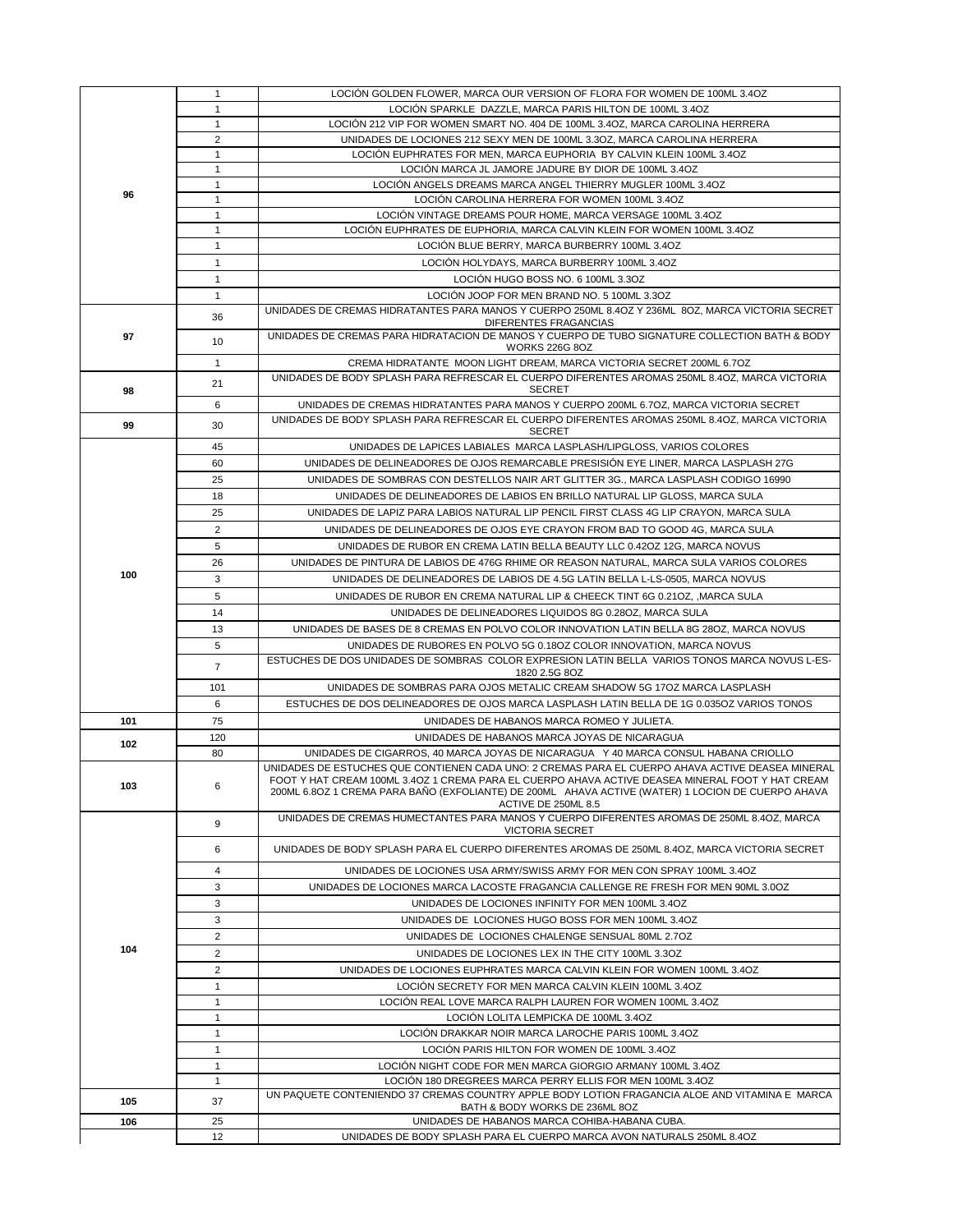|     | $\mathbf{1}$                 | LOCIÓN GOLDEN FLOWER, MARCA OUR VERSION OF FLORA FOR WOMEN DE 100ML 3.4OZ                                                                                                                                                                                                                                                        |
|-----|------------------------------|----------------------------------------------------------------------------------------------------------------------------------------------------------------------------------------------------------------------------------------------------------------------------------------------------------------------------------|
|     | $\mathbf{1}$                 | LOCIÓN SPARKLE DAZZLE, MARCA PARIS HILTON DE 100ML 3.4OZ                                                                                                                                                                                                                                                                         |
|     | $\mathbf{1}$                 | LOCIÓN 212 VIP FOR WOMEN SMART NO. 404 DE 100ML 3.4OZ, MARCA CAROLINA HERRERA                                                                                                                                                                                                                                                    |
|     | $\overline{2}$               | UNIDADES DE LOCIONES 212 SEXY MEN DE 100ML 3.3OZ, MARCA CAROLINA HERRERA                                                                                                                                                                                                                                                         |
|     | $\mathbf{1}$<br>1            | LOCIÓN EUPHRATES FOR MEN, MARCA EUPHORIA BY CALVIN KLEIN 100ML 3.4OZ<br>LOCIÓN MARCA JL JAMORE JADURE BY DIOR DE 100ML 3.4OZ                                                                                                                                                                                                     |
|     | $\mathbf{1}$                 | LOCIÓN ANGELS DREAMS MARCA ANGEL THIERRY MUGLER 100ML 3.4OZ                                                                                                                                                                                                                                                                      |
| 96  | $\mathbf{1}$                 | LOCIÓN CAROLINA HERRERA FOR WOMEN 100ML 3.4OZ                                                                                                                                                                                                                                                                                    |
|     | $\mathbf{1}$                 | LOCIÓN VINTAGE DREAMS POUR HOME, MARCA VERSAGE 100ML 3.4OZ                                                                                                                                                                                                                                                                       |
|     | 1                            | LOCIÓN EUPHRATES DE EUPHORIA, MARCA CALVIN KLEIN FOR WOMEN 100ML 3.4OZ                                                                                                                                                                                                                                                           |
|     | 1                            | LOCIÓN BLUE BERRY, MARCA BURBERRY 100ML 3.4OZ                                                                                                                                                                                                                                                                                    |
|     | $\mathbf{1}$                 | LOCIÓN HOLYDAYS, MARCA BURBERRY 100ML 3.4OZ                                                                                                                                                                                                                                                                                      |
|     | $\mathbf{1}$                 | LOCIÓN HUGO BOSS NO. 6 100ML 3.3OZ                                                                                                                                                                                                                                                                                               |
|     | $\mathbf{1}$                 | LOCIÓN JOOP FOR MEN BRAND NO. 5 100ML 3.3OZ                                                                                                                                                                                                                                                                                      |
|     | 36                           | UNIDADES DE CREMAS HIDRATANTES PARA MANOS Y CUERPO 250ML 8.4OZ Y 236ML 8OZ, MARCA VICTORIA SECRET                                                                                                                                                                                                                                |
| 97  |                              | DIFERENTES FRAGANCIAS<br>UNIDADES DE CREMAS PARA HIDRATACION DE MANOS Y CUERPO DE TUBO SIGNATURE COLLECTION BATH & BODY                                                                                                                                                                                                          |
|     | 10                           | <b>WORKS 226G 8OZ</b>                                                                                                                                                                                                                                                                                                            |
|     | $\mathbf{1}$                 | CREMA HIDRATANTE MOON LIGHT DREAM, MARCA VICTORIA SECRET 200ML 6.7OZ                                                                                                                                                                                                                                                             |
|     | 21                           | UNIDADES DE BODY SPLASH PARA REFRESCAR EL CUERPO DIFERENTES AROMAS 250ML 8.4OZ, MARCA VICTORIA                                                                                                                                                                                                                                   |
| 98  | 6                            | SECRET                                                                                                                                                                                                                                                                                                                           |
|     |                              | UNIDADES DE CREMAS HIDRATANTES PARA MANOS Y CUERPO 200ML 6.7OZ, MARCA VICTORIA SECRET<br>UNIDADES DE BODY SPLASH PARA REFRESCAR EL CUERPO DIFERENTES AROMAS 250ML 8.4OZ. MARCA VICTORIA                                                                                                                                          |
| 99  | 30                           | SECRET                                                                                                                                                                                                                                                                                                                           |
|     | 45                           | UNIDADES DE LAPICES LABIALES MARCA LASPLASH/LIPGLOSS, VARIOS COLORES                                                                                                                                                                                                                                                             |
|     | 60                           | UNIDADES DE DELINEADORES DE OJOS REMARCABLE PRESISIÓN EYE LINER, MARCA LASPLASH 27G                                                                                                                                                                                                                                              |
|     | 25                           | UNIDADES DE SOMBRAS CON DESTELLOS NAIR ART GLITTER 3G., MARCA LASPLASH CODIGO 16990                                                                                                                                                                                                                                              |
|     | 18                           | UNIDADES DE DELINEADORES DE LABIOS EN BRILLO NATURAL LIP GLOSS, MARCA SULA                                                                                                                                                                                                                                                       |
|     | 25                           | UNIDADES DE LAPIZ PARA LABIOS NATURAL LIP PENCIL FIRST CLASS 4G LIP CRAYON, MARCA SULA                                                                                                                                                                                                                                           |
|     | $\overline{2}$               | UNIDADES DE DELINEADORES DE OJOS EYE CRAYON FROM BAD TO GOOD 4G, MARCA SULA                                                                                                                                                                                                                                                      |
|     | 5                            | UNIDADES DE RUBOR EN CREMA LATIN BELLA BEAUTY LLC 0.42OZ 12G, MARCA NOVUS                                                                                                                                                                                                                                                        |
|     | 26                           | UNIDADES DE PINTURA DE LABIOS DE 476G RHIME OR REASON NATURAL, MARCA SULA VARIOS COLORES                                                                                                                                                                                                                                         |
| 100 | 3                            | UNIDADES DE DELINEADORES DE LABIOS DE 4.5G LATIN BELLA L-LS-0505, MARCA NOVUS                                                                                                                                                                                                                                                    |
|     | 5                            | UNIDADES DE RUBOR EN CREMA NATURAL LIP & CHEECK TINT 6G 0.21OZ, , MARCA SULA                                                                                                                                                                                                                                                     |
|     | 14                           | UNIDADES DE DELINEADORES LIQUIDOS 8G 0.28OZ, MARCA SULA                                                                                                                                                                                                                                                                          |
|     | 13                           | UNIDADES DE BASES DE 8 CREMAS EN POLVO COLOR INNOVATION LATIN BELLA 8G 28OZ, MARCA NOVUS                                                                                                                                                                                                                                         |
|     | 5                            | UNIDADES DE RUBORES EN POLVO 5G 0.18OZ COLOR INNOVATION, MARCA NOVUS                                                                                                                                                                                                                                                             |
|     | $\overline{7}$               | ESTUCHES DE DOS UNIDADES DE SOMBRAS COLOR EXPRESION LATIN BELLA VARIOS TONOS MARCA NOVUS L-ES-<br>1820 2.5G 8OZ                                                                                                                                                                                                                  |
|     | 101                          | UNIDADES DE SOMBRAS PARA OJOS METALIC CREAM SHADOW 5G 17OZ MARCA LASPLASH                                                                                                                                                                                                                                                        |
|     | 6                            | ESTUCHES DE DOS DELINEADORES DE OJOS MARCA LASPLASH LATIN BELLA DE 1G 0.035OZ VARIOS TONOS                                                                                                                                                                                                                                       |
| 101 | 75                           | UNIDADES DE HABANOS MARCA ROMEO Y JULIETA.                                                                                                                                                                                                                                                                                       |
|     | 120                          | UNIDADES DE HABANOS MARCA JOYAS DE NICARAGUA                                                                                                                                                                                                                                                                                     |
| 102 | 80                           | UNIDADES DE CIGARROS, 40 MARCA JOYAS DE NICARAGUA Y 40 MARCA CONSUL HABANA CRIOLLO                                                                                                                                                                                                                                               |
| 103 | 6                            | UNIDADES DE ESTUCHES QUE CONTIENEN CADA UNO: 2 CREMAS PARA EL CUERPO AHAVA ACTIVE DEASEA MINERAL<br>FOOT Y HAT CREAM 100ML 3.4OZ 1 CREMA PARA EL CUERPO AHAVA ACTIVE DEASEA MINERAL FOOT Y HAT CREAM<br>200ML 6.8OZ 1 CREMA PARA BAÑO (EXFOLIANTE) DE 200ML AHAVA ACTIVE (WATER) 1 LOCION DE CUERPO AHAVA<br>ACTIVE DE 250ML 8.5 |
|     | 9                            | UNIDADES DE CREMAS HUMECTANTES PARA MANOS Y CUERPO DIFERENTES AROMAS DE 250ML 8.4OZ, MARCA<br><b>VICTORIA SECRET</b>                                                                                                                                                                                                             |
|     | 6                            | UNIDADES DE BODY SPLASH PARA EL CUERPO DIFERENTES AROMAS DE 250ML 8.4OZ, MARCA VICTORIA SECRET                                                                                                                                                                                                                                   |
|     | $\overline{4}$               | UNIDADES DE LOCIONES USA ARMY/SWISS ARMY FOR MEN CON SPRAY 100ML 3.4OZ                                                                                                                                                                                                                                                           |
|     | 3                            | UNIDADES DE LOCIONES MARCA LACOSTE FRAGANCIA CALLENGE RE FRESH FOR MEN 90ML 3.0OZ                                                                                                                                                                                                                                                |
|     | 3                            | UNIDADES DE LOCIONES INFINITY FOR MEN 100ML 3.4OZ                                                                                                                                                                                                                                                                                |
|     | 3                            | UNIDADES DE LOCIONES HUGO BOSS FOR MEN 100ML 3.4OZ                                                                                                                                                                                                                                                                               |
|     | $\overline{2}$               | UNIDADES DE LOCIONES CHALENGE SENSUAL 80ML 2.7OZ                                                                                                                                                                                                                                                                                 |
| 104 | $\overline{2}$               | UNIDADES DE LOCIONES LEX IN THE CITY 100ML 3.3OZ                                                                                                                                                                                                                                                                                 |
|     | $\overline{2}$               | UNIDADES DE LOCIONES EUPHRATES MARCA CALVIN KLEIN FOR WOMEN 100ML 3.4OZ                                                                                                                                                                                                                                                          |
|     | 1                            | LOCIÓN SECRETY FOR MEN MARCA CALVIN KLEIN 100ML 3.4OZ                                                                                                                                                                                                                                                                            |
|     | 1                            | LOCIÓN REAL LOVE MARCA RALPH LAUREN FOR WOMEN 100ML 3.4OZ                                                                                                                                                                                                                                                                        |
|     | $\mathbf{1}$                 | LOCIÓN LOLITA LEMPICKA DE 100ML 3.4OZ                                                                                                                                                                                                                                                                                            |
|     | 1                            | LOCIÓN DRAKKAR NOIR MARCA LAROCHE PARIS 100ML 3.4OZ                                                                                                                                                                                                                                                                              |
|     | $\mathbf{1}$                 | LOCIÓN PARIS HILTON FOR WOMEN DE 100ML 3.4OZ                                                                                                                                                                                                                                                                                     |
|     | $\mathbf{1}$<br>$\mathbf{1}$ | LOCIÓN NIGHT CODE FOR MEN MARCA GIORGIO ARMANY 100ML 3.4OZ<br>LOCIÓN 180 DREGREES MARCA PERRY ELLIS FOR MEN 100ML 3.4OZ                                                                                                                                                                                                          |
|     |                              | UN PAQUETE CONTENIENDO 37 CREMAS COUNTRY APPLE BODY LOTION FRAGANCIA ALOE AND VITAMINA E MARCA                                                                                                                                                                                                                                   |
| 105 | 37                           | BATH & BODY WORKS DE 236ML 8OZ                                                                                                                                                                                                                                                                                                   |
| 106 | 25                           | UNIDADES DE HABANOS MARCA COHIBA-HABANA CUBA.                                                                                                                                                                                                                                                                                    |
|     | 12                           | UNIDADES DE BODY SPLASH PARA EL CUERPO MARCA AVON NATURALS 250ML 8.4OZ                                                                                                                                                                                                                                                           |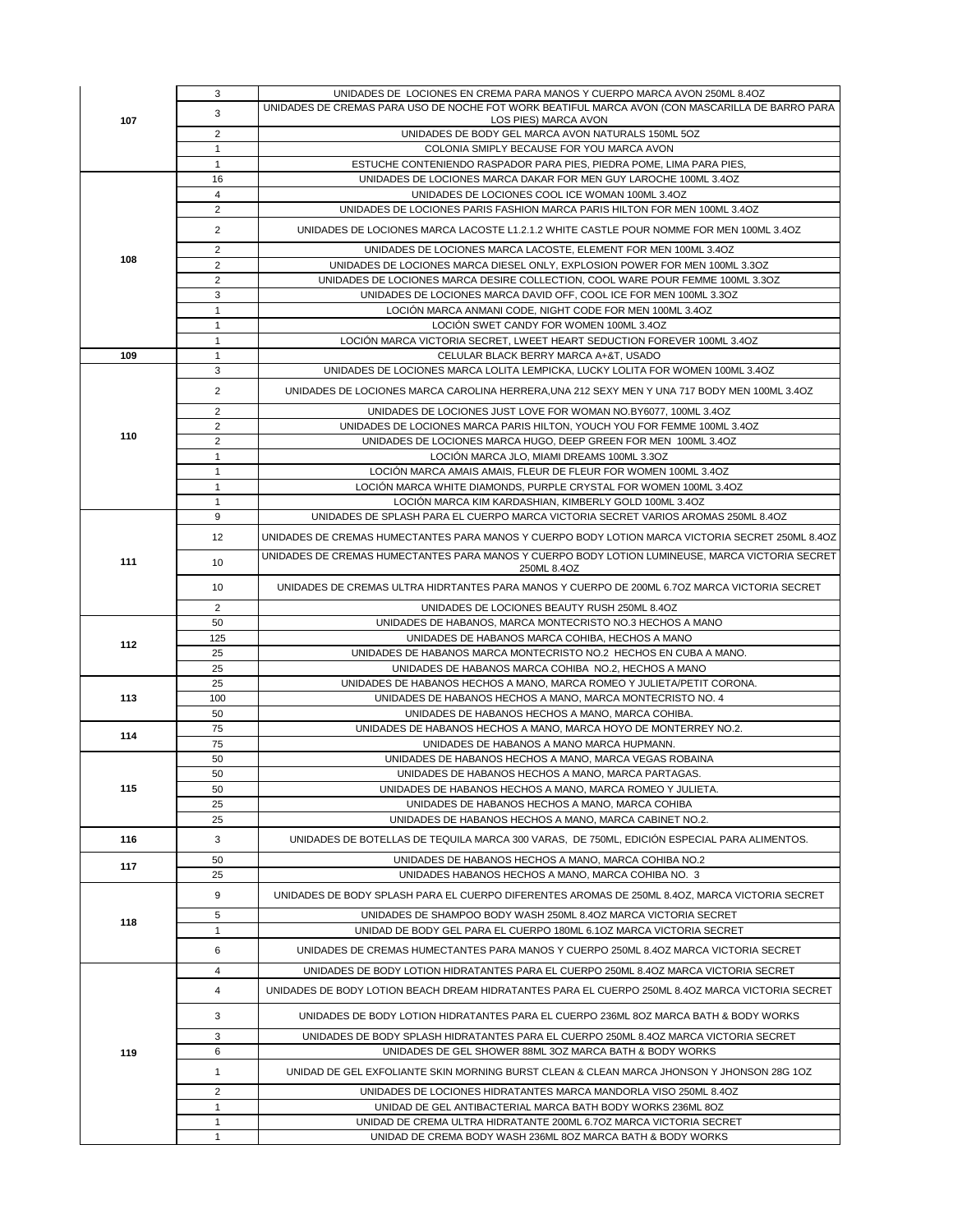|     | 3                              | UNIDADES DE LOCIONES EN CREMA PARA MANOS Y CUERPO MARCA AVON 250ML 8.4OZ                                                          |
|-----|--------------------------------|-----------------------------------------------------------------------------------------------------------------------------------|
| 107 | 3                              | UNIDADES DE CREMAS PARA USO DE NOCHE FOT WORK BEATIFUL MARCA AVON (CON MASCARILLA DE BARRO PARA                                   |
|     |                                | LOS PIES) MARCA AVON                                                                                                              |
|     | $\overline{2}$<br>$\mathbf{1}$ | UNIDADES DE BODY GEL MARCA AVON NATURALS 150ML 5OZ<br>COLONIA SMIPLY BECAUSE FOR YOU MARCA AVON                                   |
|     | $\mathbf{1}$                   | ESTUCHE CONTENIENDO RASPADOR PARA PIES, PIEDRA POME, LIMA PARA PIES,                                                              |
|     | 16                             | UNIDADES DE LOCIONES MARCA DAKAR FOR MEN GUY LAROCHE 100ML 3.4OZ                                                                  |
|     | $\overline{4}$                 | UNIDADES DE LOCIONES COOL ICE WOMAN 100ML 3.4OZ                                                                                   |
|     | $\overline{2}$                 | UNIDADES DE LOCIONES PARIS FASHION MARCA PARIS HILTON FOR MEN 100ML 3.4OZ                                                         |
|     | $\overline{2}$                 | UNIDADES DE LOCIONES MARCA LACOSTE L1.2.1.2 WHITE CASTLE POUR NOMME FOR MEN 100ML 3.4OZ                                           |
|     | $\overline{2}$                 | UNIDADES DE LOCIONES MARCA LACOSTE, ELEMENT FOR MEN 100ML 3.4OZ                                                                   |
| 108 | $\overline{2}$                 | UNIDADES DE LOCIONES MARCA DIESEL ONLY, EXPLOSION POWER FOR MEN 100ML 3.3OZ                                                       |
|     | $\overline{2}$                 | UNIDADES DE LOCIONES MARCA DESIRE COLLECTION, COOL WARE POUR FEMME 100ML 3.3OZ                                                    |
|     | 3                              | UNIDADES DE LOCIONES MARCA DAVID OFF. COOL ICE FOR MEN 100ML 3.3OZ                                                                |
|     | $\mathbf{1}$                   | LOCIÓN MARCA ANMANI CODE, NIGHT CODE FOR MEN 100ML 3.4OZ                                                                          |
|     | $\mathbf{1}$                   | LOCIÓN SWET CANDY FOR WOMEN 100ML 3.4OZ                                                                                           |
| 109 | $\mathbf{1}$<br>1              | LOCIÓN MARCA VICTORIA SECRET, LWEET HEART SEDUCTION FOREVER 100ML 3.4OZ                                                           |
|     | 3                              | CELULAR BLACK BERRY MARCA A+&T, USADO<br>UNIDADES DE LOCIONES MARCA LOLITA LEMPICKA, LUCKY LOLITA FOR WOMEN 100ML 3.4OZ           |
|     |                                |                                                                                                                                   |
|     | $\overline{2}$                 | UNIDADES DE LOCIONES MARCA CAROLINA HERRERA, UNA 212 SEXY MEN Y UNA 717 BODY MEN 100ML 3.4OZ                                      |
|     | $\overline{2}$                 | UNIDADES DE LOCIONES JUST LOVE FOR WOMAN NO.BY6077, 100ML 3.4OZ                                                                   |
| 110 | $\overline{2}$                 | UNIDADES DE LOCIONES MARCA PARIS HILTON, YOUCH YOU FOR FEMME 100ML 3.4OZ                                                          |
|     | $\overline{2}$                 | UNIDADES DE LOCIONES MARCA HUGO, DEEP GREEN FOR MEN 100ML 3.4OZ                                                                   |
|     | 1<br>$\mathbf{1}$              | LOCIÓN MARCA JLO, MIAMI DREAMS 100ML 3.3OZ<br>LOCIÓN MARCA AMAIS AMAIS, FLEUR DE FLEUR FOR WOMEN 100ML 3.4OZ                      |
|     | 1                              | LOCIÓN MARCA WHITE DIAMONDS, PURPLE CRYSTAL FOR WOMEN 100ML 3.4OZ                                                                 |
|     | $\mathbf{1}$                   | LOCIÓN MARCA KIM KARDASHIAN, KIMBERLY GOLD 100ML 3.4OZ                                                                            |
|     | 9                              | UNIDADES DE SPLASH PARA EL CUERPO MARCA VICTORIA SECRET VARIOS AROMAS 250ML 8.4OZ                                                 |
|     | 12                             | UNIDADES DE CREMAS HUMECTANTES PARA MANOS Y CUERPO BODY LOTION MARCA VICTORIA SECRET 250ML 8.4OZ                                  |
| 111 | 10                             | UNIDADES DE CREMAS HUMECTANTES PARA MANOS Y CUERPO BODY LOTION LUMINEUSE, MARCA VICTORIA SECRET<br>250ML 8.4OZ                    |
|     | 10                             | UNIDADES DE CREMAS ULTRA HIDRTANTES PARA MANOS Y CUERPO DE 200ML 6.7OZ MARCA VICTORIA SECRET                                      |
|     | 2                              | UNIDADES DE LOCIONES BEAUTY RUSH 250ML 8.4OZ                                                                                      |
|     |                                |                                                                                                                                   |
|     | 50                             | UNIDADES DE HABANOS, MARCA MONTECRISTO NO.3 HECHOS A MANO                                                                         |
|     | 125                            | UNIDADES DE HABANOS MARCA COHIBA, HECHOS A MANO                                                                                   |
| 112 | 25                             | UNIDADES DE HABANOS MARCA MONTECRISTO NO.2 HECHOS EN CUBA A MANO.                                                                 |
|     | 25                             | UNIDADES DE HABANOS MARCA COHIBA NO.2, HECHOS A MANO                                                                              |
|     | 25                             | UNIDADES DE HABANOS HECHOS A MANO, MARCA ROMEO Y JULIETA/PETIT CORONA.                                                            |
| 113 | 100                            | UNIDADES DE HABANOS HECHOS A MANO, MARCA MONTECRISTO NO. 4                                                                        |
|     | 50                             | UNIDADES DE HABANOS HECHOS A MANO, MARCA COHIBA.                                                                                  |
| 114 | 75<br>75                       | UNIDADES DE HABANOS HECHOS A MANO, MARCA HOYO DE MONTERREY NO.2.<br>UNIDADES DE HABANOS A MANO MARCA HUPMANN.                     |
|     | 50                             | UNIDADES DE HABANOS HECHOS A MANO, MARCA VEGAS ROBAINA                                                                            |
|     | 50                             | UNIDADES DE HABANOS HECHOS A MANO, MARCA PARTAGAS.                                                                                |
| 115 | 50                             | UNIDADES DE HABANOS HECHOS A MANO, MARCA ROMEO Y JULIETA.                                                                         |
|     | 25                             | UNIDADES DE HABANOS HECHOS A MANO, MARCA COHIBA                                                                                   |
|     | 25                             | UNIDADES DE HABANOS HECHOS A MANO, MARCA CABINET NO.2.                                                                            |
| 116 | 3                              | UNIDADES DE BOTELLAS DE TEQUILA MARCA 300 VARAS. DE 750ML. EDICIÓN ESPECIAL PARA ALIMENTOS.                                       |
| 117 | 50                             | UNIDADES DE HABANOS HECHOS A MANO, MARCA COHIBA NO.2                                                                              |
|     | 25                             | UNIDADES HABANOS HECHOS A MANO, MARCA COHIBA NO. 3                                                                                |
|     | 9                              | UNIDADES DE BODY SPLASH PARA EL CUERPO DIFERENTES AROMAS DE 250ML 8.4OZ, MARCA VICTORIA SECRET                                    |
| 118 | 5                              | UNIDADES DE SHAMPOO BODY WASH 250ML 8.4OZ MARCA VICTORIA SECRET                                                                   |
|     | 1                              | UNIDAD DE BODY GEL PARA EL CUERPO 180ML 6.1OZ MARCA VICTORIA SECRET                                                               |
|     | 6                              | UNIDADES DE CREMAS HUMECTANTES PARA MANOS Y CUERPO 250ML 8.4OZ MARCA VICTORIA SECRET                                              |
|     | 4                              | UNIDADES DE BODY LOTION HIDRATANTES PARA EL CUERPO 250ML 8.4OZ MARCA VICTORIA SECRET                                              |
|     | 4                              | UNIDADES DE BODY LOTION BEACH DREAM HIDRATANTES PARA EL CUERPO 250ML 8.4OZ MARCA VICTORIA SECRET                                  |
|     | 3                              | UNIDADES DE BODY LOTION HIDRATANTES PARA EL CUERPO 236ML 8OZ MARCA BATH & BODY WORKS                                              |
|     | 3                              | UNIDADES DE BODY SPLASH HIDRATANTES PARA EL CUERPO 250ML 8.4OZ MARCA VICTORIA SECRET                                              |
| 119 | 6                              | UNIDADES DE GEL SHOWER 88ML 3OZ MARCA BATH & BODY WORKS                                                                           |
|     | 1                              | UNIDAD DE GEL EXFOLIANTE SKIN MORNING BURST CLEAN & CLEAN MARCA JHONSON Y JHONSON 28G 1OZ                                         |
|     | $\overline{2}$                 | UNIDADES DE LOCIONES HIDRATANTES MARCA MANDORLA VISO 250ML 8.4OZ                                                                  |
|     | $\mathbf{1}$                   | UNIDAD DE GEL ANTIBACTERIAL MARCA BATH BODY WORKS 236ML 8OZ                                                                       |
|     | 1<br>1                         | UNIDAD DE CREMA ULTRA HIDRATANTE 200ML 6.7OZ MARCA VICTORIA SECRET<br>UNIDAD DE CREMA BODY WASH 236ML 8OZ MARCA BATH & BODY WORKS |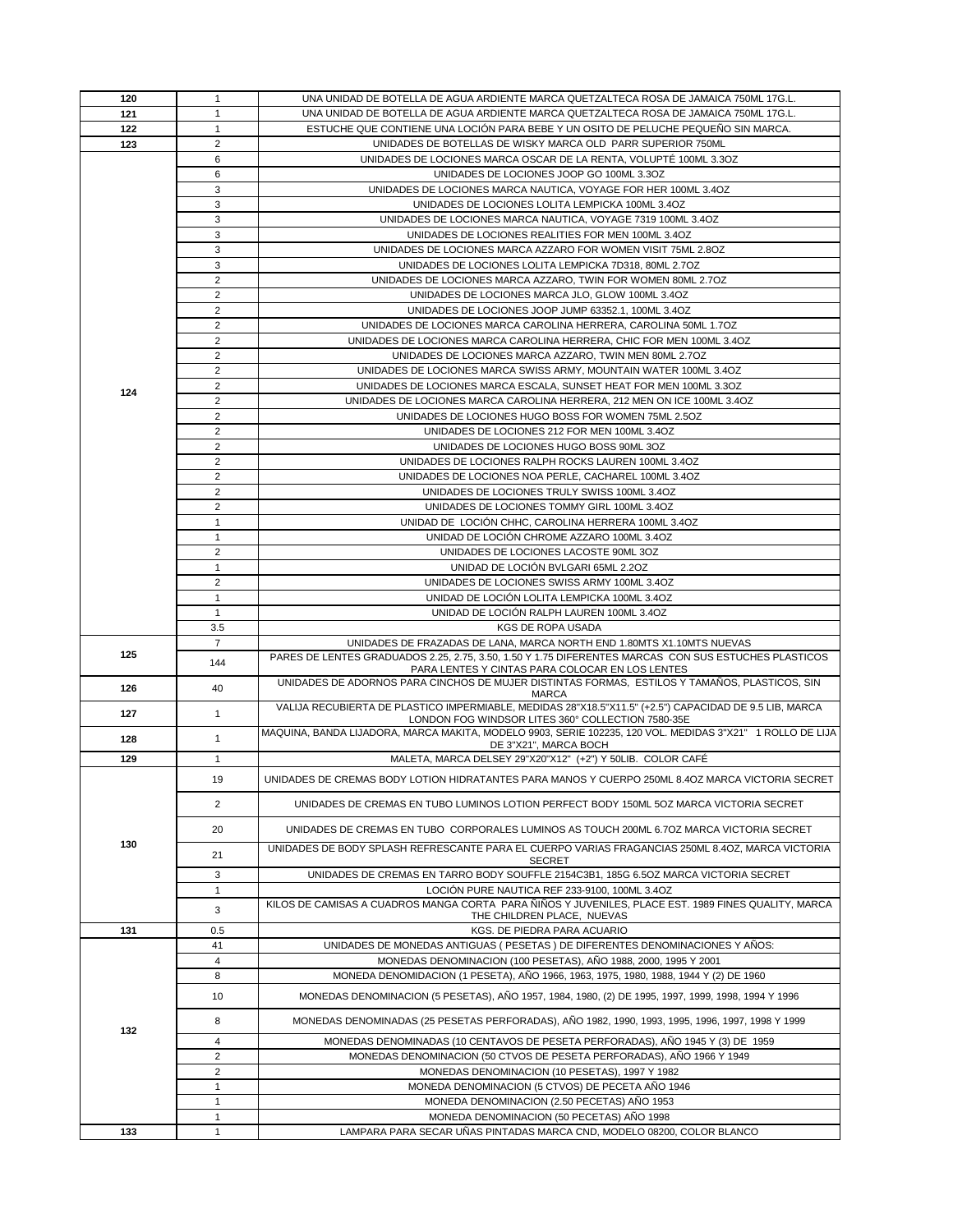| 120 | $\mathbf{1}$                     | UNA UNIDAD DE BOTELLA DE AGUA ARDIENTE MARCA QUETZALTECA ROSA DE JAMAICA 750ML 17G.L.                                                                                         |
|-----|----------------------------------|-------------------------------------------------------------------------------------------------------------------------------------------------------------------------------|
| 121 | $\mathbf{1}$                     | UNA UNIDAD DE BOTELLA DE AGUA ARDIENTE MARCA QUETZALTECA ROSA DE JAMAICA 750ML 17G.L.                                                                                         |
| 122 | $\mathbf{1}$                     | ESTUCHE QUE CONTIENE UNA LOCIÓN PARA BEBE Y UN OSITO DE PELUCHE PEQUENO SIN MARCA.                                                                                            |
| 123 | $\overline{2}$                   | UNIDADES DE BOTELLAS DE WISKY MARCA OLD PARR SUPERIOR 750ML                                                                                                                   |
|     | 6                                | UNIDADES DE LOCIONES MARCA OSCAR DE LA RENTA, VOLUPTÉ 100ML 3.3OZ                                                                                                             |
|     | 6                                | UNIDADES DE LOCIONES JOOP GO 100ML 3.3OZ                                                                                                                                      |
|     | 3                                | UNIDADES DE LOCIONES MARCA NAUTICA, VOYAGE FOR HER 100ML 3.4OZ                                                                                                                |
|     | 3                                | UNIDADES DE LOCIONES LOLITA LEMPICKA 100ML 3.4OZ                                                                                                                              |
|     | 3                                | UNIDADES DE LOCIONES MARCA NAUTICA, VOYAGE 7319 100ML 3.4OZ                                                                                                                   |
|     | 3                                | UNIDADES DE LOCIONES REALITIES FOR MEN 100ML 3.4OZ                                                                                                                            |
|     | 3                                | UNIDADES DE LOCIONES MARCA AZZARO FOR WOMEN VISIT 75ML 2.8OZ                                                                                                                  |
|     | 3                                | UNIDADES DE LOCIONES LOLITA LEMPICKA 7D318, 80ML 2.7OZ                                                                                                                        |
|     | $\overline{2}$                   | UNIDADES DE LOCIONES MARCA AZZARO, TWIN FOR WOMEN 80ML 2.7OZ                                                                                                                  |
|     | $\overline{2}$                   | UNIDADES DE LOCIONES MARCA JLO, GLOW 100ML 3.4OZ                                                                                                                              |
|     | $\overline{2}$                   | UNIDADES DE LOCIONES JOOP JUMP 63352.1, 100ML 3.4OZ                                                                                                                           |
|     | 2                                | UNIDADES DE LOCIONES MARCA CAROLINA HERRERA, CAROLINA 50ML 1.7OZ                                                                                                              |
|     | $\overline{2}$                   | UNIDADES DE LOCIONES MARCA CAROLINA HERRERA, CHIC FOR MEN 100ML 3.4OZ                                                                                                         |
|     | $\overline{2}$                   | UNIDADES DE LOCIONES MARCA AZZARO, TWIN MEN 80ML 2.7OZ                                                                                                                        |
|     | $\overline{2}$                   | UNIDADES DE LOCIONES MARCA SWISS ARMY, MOUNTAIN WATER 100ML 3.4OZ                                                                                                             |
| 124 | $\overline{2}$                   | UNIDADES DE LOCIONES MARCA ESCALA, SUNSET HEAT FOR MEN 100ML 3.3OZ                                                                                                            |
|     | $\overline{2}$<br>$\overline{2}$ | UNIDADES DE LOCIONES MARCA CAROLINA HERRERA, 212 MEN ON ICE 100ML 3.4OZ<br>UNIDADES DE LOCIONES HUGO BOSS FOR WOMEN 75ML 2.5OZ                                                |
|     | $\overline{2}$                   | UNIDADES DE LOCIONES 212 FOR MEN 100ML 3.4OZ                                                                                                                                  |
|     | $\overline{2}$                   | UNIDADES DE LOCIONES HUGO BOSS 90ML 3OZ                                                                                                                                       |
|     | $\overline{2}$                   | UNIDADES DE LOCIONES RALPH ROCKS LAUREN 100ML 3.4OZ                                                                                                                           |
|     | $\overline{2}$                   | UNIDADES DE LOCIONES NOA PERLE, CACHAREL 100ML 3.4OZ                                                                                                                          |
|     | $\overline{2}$                   | UNIDADES DE LOCIONES TRULY SWISS 100ML 3.4OZ                                                                                                                                  |
|     | $\overline{2}$                   | UNIDADES DE LOCIONES TOMMY GIRL 100ML 3.4OZ                                                                                                                                   |
|     | $\mathbf{1}$                     | UNIDAD DE LOCIÓN CHHC, CAROLINA HERRERA 100ML 3.4OZ                                                                                                                           |
|     | $\mathbf{1}$                     | UNIDAD DE LOCIÓN CHROME AZZARO 100ML 3.4OZ                                                                                                                                    |
|     | $\overline{2}$                   | UNIDADES DE LOCIONES LACOSTE 90ML 3OZ                                                                                                                                         |
|     | $\mathbf{1}$                     | UNIDAD DE LOCIÓN BVLGARI 65ML 2.20Z                                                                                                                                           |
|     | $\overline{2}$                   | UNIDADES DE LOCIONES SWISS ARMY 100ML 3.4OZ                                                                                                                                   |
|     | $\mathbf{1}$                     | UNIDAD DE LOCIÓN LOLITA LEMPICKA 100ML 3.4OZ                                                                                                                                  |
|     | $\mathbf{1}$                     | UNIDAD DE LOCIÓN RALPH LAUREN 100ML 3.4OZ                                                                                                                                     |
|     | 3.5                              | KGS DE ROPA USADA                                                                                                                                                             |
| 125 | $\overline{7}$                   | UNIDADES DE FRAZADAS DE LANA, MARCA NORTH END 1.80MTS X1.10MTS NUEVAS<br>PARES DE LENTES GRADUADOS 2.25, 2.75, 3.50, 1.50 Y 1.75 DIFERENTES MARCAS CON SUS ESTUCHES PLASTICOS |
|     | 144                              | PARA LENTES Y CINTAS PARA COLOCAR EN LOS LENTES                                                                                                                               |
| 126 | 40                               | UNIDADES DE ADORNOS PARA CINCHOS DE MUJER DISTINTAS FORMAS, ESTILOS Y TAMAÑOS, PLASTICOS, SIN<br>MARCA                                                                        |
|     |                                  | VALIJA RECUBIERTA DE PLASTICO IMPERMIABLE, MEDIDAS 28"X18.5"X11.5" (+2.5") CAPACIDAD DE 9.5 LIB, MARCA                                                                        |
|     |                                  |                                                                                                                                                                               |
| 127 | $\mathbf{1}$                     | LONDON FOG WINDSOR LITES 360° COLLECTION 7580-35E                                                                                                                             |
| 128 | $\mathbf{1}$                     | MAQUINA, BANDA LIJADORA, MARCA MAKITA, MODELO 9903, SERIE 102235, 120 VOL. MEDIDAS 3"X21" 1 ROLLO DE LIJA                                                                     |
| 129 | $\mathbf{1}$                     | DE 3"X21", MARCA BOCH<br>MALETA, MARCA DELSEY 29"X20"X12" (+2") Y 50LIB. COLOR CAFÉ                                                                                           |
|     |                                  |                                                                                                                                                                               |
|     | 19                               | UNIDADES DE CREMAS BODY LOTION HIDRATANTES PARA MANOS Y CUERPO 250ML 8.4OZ MARCA VICTORIA SECRET                                                                              |
|     | 2                                | UNIDADES DE CREMAS EN TUBO LUMINOS LOTION PERFECT BODY 150ML 5OZ MARCA VICTORIA SECRET                                                                                        |
|     | 20                               | UNIDADES DE CREMAS EN TUBO CORPORALES LUMINOS AS TOUCH 200ML 6.7OZ MARCA VICTORIA SECRET                                                                                      |
| 130 | 21                               | UNIDADES DE BODY SPLASH REFRESCANTE PARA EL CUERPO VARIAS FRAGANCIAS 250ML 8.4OZ, MARCA VICTORIA<br>SECRET                                                                    |
|     | 3                                | UNIDADES DE CREMAS EN TARRO BODY SOUFFLE 2154C3B1, 185G 6.5OZ MARCA VICTORIA SECRET                                                                                           |
|     | $\mathbf{1}$                     | LOCIÓN PURE NAUTICA REF 233-9100, 100ML 3.4OZ                                                                                                                                 |
|     | 3                                | KILOS DE CAMISAS A CUADROS MANGA CORTA PARA ÑIÑOS Y JUVENILES, PLACE EST. 1989 FINES QUALITY, MARCA                                                                           |
| 131 | 0.5                              | THE CHILDREN PLACE, NUEVAS<br>KGS. DE PIEDRA PARA ACUARIO                                                                                                                     |
|     | 41                               | UNIDADES DE MONEDAS ANTIGUAS (PESETAS) DE DIFERENTES DENOMINACIONES Y AÑOS:                                                                                                   |
|     | 4                                | MONEDAS DENOMINACION (100 PESETAS), AÑO 1988, 2000, 1995 Y 2001                                                                                                               |
|     | 8                                | MONEDA DENOMIDACION (1 PESETA), AÑO 1966, 1963, 1975, 1980, 1988, 1944 Y (2) DE 1960                                                                                          |
|     | 10                               | MONEDAS DENOMINACION (5 PESETAS), AÑO 1957, 1984, 1980, (2) DE 1995, 1997, 1999, 1998, 1994 Y 1996                                                                            |
|     | 8                                | MONEDAS DENOMINADAS (25 PESETAS PERFORADAS), AÑO 1982, 1990, 1993, 1995, 1996, 1997, 1998 Y 1999                                                                              |
| 132 | 4                                | MONEDAS DENOMINADAS (10 CENTAVOS DE PESETA PERFORADAS), AÑO 1945 Y (3) DE 1959                                                                                                |
|     | $\overline{2}$                   | MONEDAS DENOMINACION (50 CTVOS DE PESETA PERFORADAS), AÑO 1966 Y 1949                                                                                                         |
|     | $\overline{2}$                   | MONEDAS DENOMINACION (10 PESETAS), 1997 Y 1982                                                                                                                                |
|     | $\mathbf{1}$                     | MONEDA DENOMINACION (5 CTVOS) DE PECETA AÑO 1946                                                                                                                              |
|     | $\mathbf{1}$                     | MONEDA DENOMINACION (2.50 PECETAS) AÑO 1953                                                                                                                                   |
| 133 | $\mathbf{1}$<br>$\mathbf{1}$     | MONEDA DENOMINACION (50 PECETAS) AÑO 1998<br>LAMPARA PARA SECAR UÑAS PINTADAS MARCA CND, MODELO 08200, COLOR BLANCO                                                           |